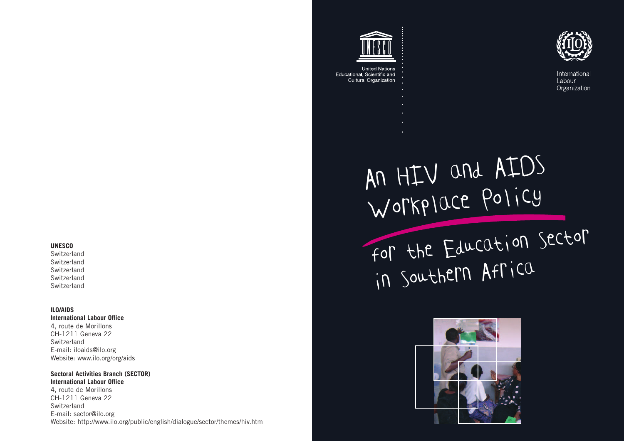

International Labour Organization



# for the Education Sector in Southern Africa





l

**United Nations** Educational, Scientific and **Cultural Organization**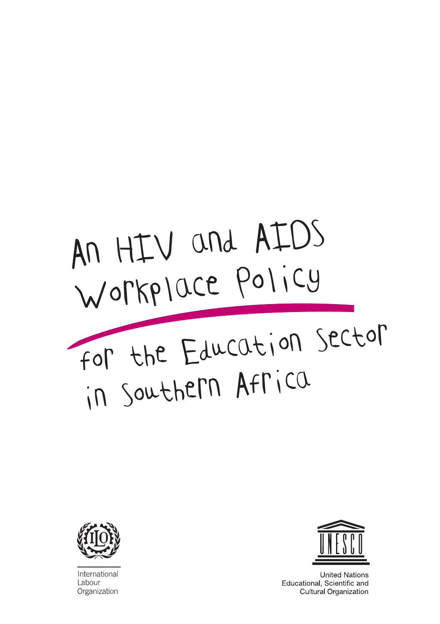# An HIV and AIDS Workplace Policy for the Education Sector in Southern Africa



International Labour Organization



**United Nations** Educational, Scientific and **Cultural Organization**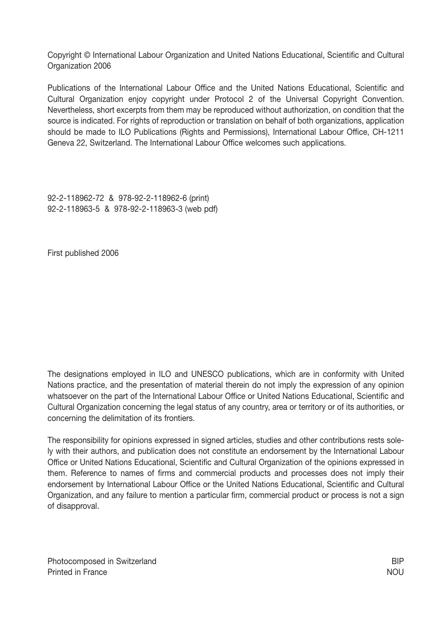Copyright © International Labour Organization and United Nations Educational, Scientific and Cultural Organization 2006

Publications of the International Labour Office and the United Nations Educational, Scientific and Cultural Organization enjoy copyright under Protocol 2 of the Universal Copyright Convention. Nevertheless, short excerpts from them may be reproduced without authorization, on condition that the source is indicated. For rights of reproduction or translation on behalf of both organizations, application should be made to ILO Publications (Rights and Permissions), International Labour Office, CH-1211 Geneva 22, Switzerland. The International Labour Office welcomes such applications.

92-2-118962-72 & 978-92-2-118962-6 (print) 92-2-118963-5 & 978-92-2-118963-3 (web pdf)

First published 2006

The designations employed in ILO and UNESCO publications, which are in conformity with United Nations practice, and the presentation of material therein do not imply the expression of any opinion whatsoever on the part of the International Labour Office or United Nations Educational, Scientific and Cultural Organization concerning the legal status of any country, area or territory or of its authorities, or concerning the delimitation of its frontiers.

The responsibility for opinions expressed in signed articles, studies and other contributions rests solely with their authors, and publication does not constitute an endorsement by the International Labour Office or United Nations Educational, Scientific and Cultural Organization of the opinions expressed in them. Reference to names of firms and commercial products and processes does not imply their endorsement by International Labour Office or the United Nations Educational, Scientific and Cultural Organization, and any failure to mention a particular firm, commercial product or process is not a sign of disapproval.

Photocomposed in Switzerland BIP Printed in France NOU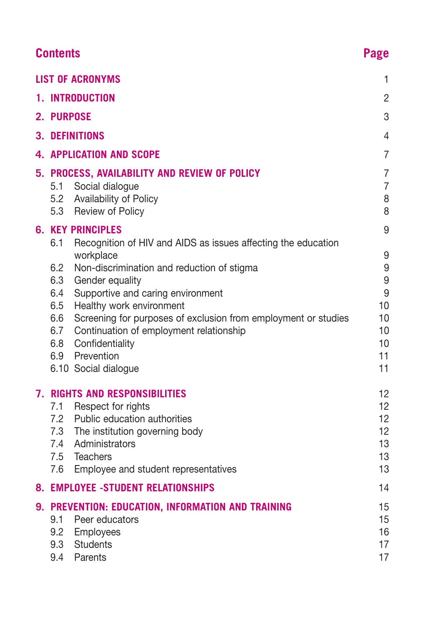| <b>Contents</b>                                                                                                                                                                                                                     | <b>Page</b>                                |
|-------------------------------------------------------------------------------------------------------------------------------------------------------------------------------------------------------------------------------------|--------------------------------------------|
| <b>LIST OF ACRONYMS</b>                                                                                                                                                                                                             | 1                                          |
| 1. INTRODUCTION                                                                                                                                                                                                                     | 2                                          |
| 2. PURPOSE                                                                                                                                                                                                                          | 3                                          |
| 3. DEFINITIONS                                                                                                                                                                                                                      | 4                                          |
| <b>4. APPLICATION AND SCOPE</b>                                                                                                                                                                                                     | $\overline{7}$                             |
| 5. PROCESS, AVAILABILITY AND REVIEW OF POLICY<br>5.1<br>Social dialogue<br>5.2<br>Availability of Policy<br>5.3<br>Review of Policy                                                                                                 | $\overline{7}$<br>$\overline{7}$<br>8<br>8 |
| <b>6. KEY PRINCIPLES</b><br>6.1<br>Recognition of HIV and AIDS as issues affecting the education<br>workplace                                                                                                                       | 9<br>9                                     |
| 6.2<br>Non-discrimination and reduction of stigma<br>6.3<br>Gender equality<br>Supportive and caring environment<br>6.4<br>Healthy work environment<br>6.5<br>Screening for purposes of exclusion from employment or studies<br>6.6 | 9<br>9<br>9<br>10<br>10                    |
| 6.7 Continuation of employment relationship<br>6.8 Confidentiality<br>6.9 Prevention<br>6.10 Social dialogue                                                                                                                        | 10<br>10<br>11<br>11                       |
| <b>7. RIGHTS AND RESPONSIBILITIES</b><br>7.1 Respect for rights<br>7.2 Public education authorities<br>7.3<br>The institution governing body<br>7.4 Administrators<br>7.5 Teachers<br>7.6<br>Employee and student representatives   | 12<br>12<br>12<br>12<br>13<br>13<br>13     |
| <b>8. EMPLOYEE -STUDENT RELATIONSHIPS</b>                                                                                                                                                                                           | 14                                         |
| 9. PREVENTION: EDUCATION, INFORMATION AND TRAINING<br>Peer educators<br>9.1<br>9.2<br>Employees<br>9.3<br><b>Students</b><br>9.4<br>Parents                                                                                         | 15<br>15<br>16<br>17<br>17                 |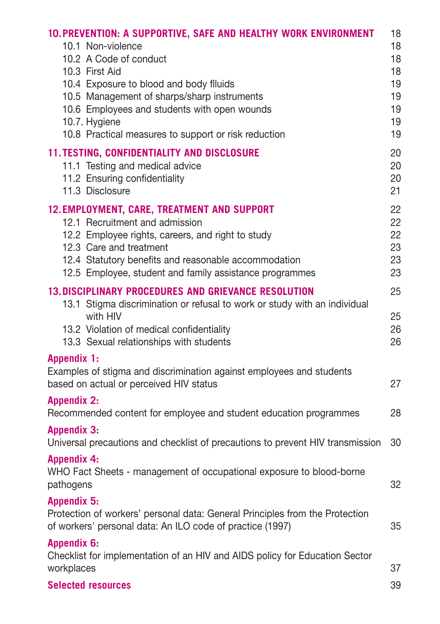| 10. PREVENTION: A SUPPORTIVE, SAFE AND HEALTHY WORK ENVIRONMENT<br>10.1 Non-violence<br>10.2 A Code of conduct<br>10.3 First Aid<br>10.4 Exposure to blood and body flluids<br>10.5 Management of sharps/sharp instruments<br>10.6 Employees and students with open wounds<br>10.7. Hygiene<br>10.8 Practical measures to support or risk reduction | 18<br>18<br>18<br>18<br>19<br>19<br>19<br>19<br>19 |
|-----------------------------------------------------------------------------------------------------------------------------------------------------------------------------------------------------------------------------------------------------------------------------------------------------------------------------------------------------|----------------------------------------------------|
| <b>11. TESTING, CONFIDENTIALITY AND DISCLOSURE</b><br>11.1 Testing and medical advice<br>11.2 Ensuring confidentiality<br>11.3 Disclosure                                                                                                                                                                                                           | 20<br>20<br>20<br>21                               |
| 12. EMPLOYMENT, CARE, TREATMENT AND SUPPORT<br>12.1 Recruitment and admission<br>12.2 Employee rights, careers, and right to study<br>12.3 Care and treatment<br>12.4 Statutory benefits and reasonable accommodation<br>12.5 Employee, student and family assistance programmes                                                                    | 22<br>22<br>22<br>23<br>23<br>23                   |
| <b>13. DISCIPLINARY PROCEDURES AND GRIEVANCE RESOLUTION</b><br>13.1 Stigma discrimination or refusal to work or study with an individual<br>with HIV<br>13.2 Violation of medical confidentiality<br>13.3 Sexual relationships with students                                                                                                        | 25<br>25<br>26<br>26                               |
| <b>Appendix 1:</b><br>Examples of stigma and discrimination against employees and students<br>based on actual or perceived HIV status                                                                                                                                                                                                               | 27                                                 |
| <b>Appendix 2:</b><br>Recommended content for employee and student education programmes                                                                                                                                                                                                                                                             | 28                                                 |
| <b>Appendix 3:</b><br>Universal precautions and checklist of precautions to prevent HIV transmission                                                                                                                                                                                                                                                | 30                                                 |
| <b>Appendix 4:</b><br>WHO Fact Sheets - management of occupational exposure to blood-borne<br>pathogens                                                                                                                                                                                                                                             | 32                                                 |
| <b>Appendix 5:</b><br>Protection of workers' personal data: General Principles from the Protection<br>of workers' personal data: An ILO code of practice (1997)                                                                                                                                                                                     | 35                                                 |
| <b>Appendix 6:</b><br>Checklist for implementation of an HIV and AIDS policy for Education Sector<br>workplaces                                                                                                                                                                                                                                     | 37                                                 |
| <b>Selected resources</b>                                                                                                                                                                                                                                                                                                                           | 39                                                 |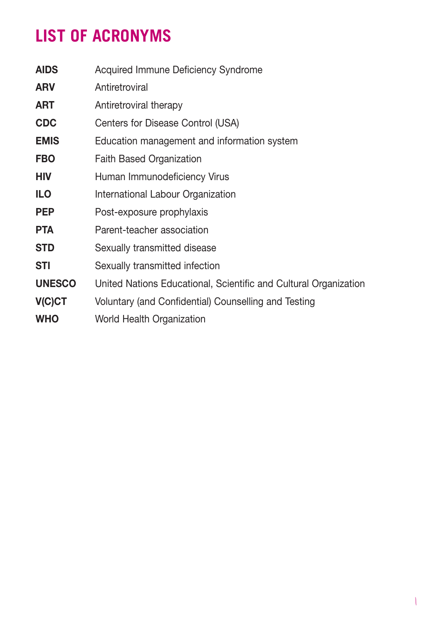# **LIST OF ACRONYMS**

| <b>AIDS</b>   | Acquired Immune Deficiency Syndrome                              |
|---------------|------------------------------------------------------------------|
| <b>ARV</b>    | Antiretroviral                                                   |
| <b>ART</b>    | Antiretroviral therapy                                           |
| <b>CDC</b>    | Centers for Disease Control (USA)                                |
| <b>EMIS</b>   | Education management and information system                      |
| <b>FBO</b>    | <b>Faith Based Organization</b>                                  |
| <b>HIV</b>    | Human Immunodeficiency Virus                                     |
| <b>ILO</b>    | International Labour Organization                                |
| <b>PEP</b>    | Post-exposure prophylaxis                                        |
| <b>PTA</b>    | Parent-teacher association                                       |
| <b>STD</b>    | Sexually transmitted disease                                     |
| STI           | Sexually transmitted infection                                   |
| <b>UNESCO</b> | United Nations Educational, Scientific and Cultural Organization |
| V(C)CT        | Voluntary (and Confidential) Counselling and Testing             |
| <b>WHO</b>    | World Health Organization                                        |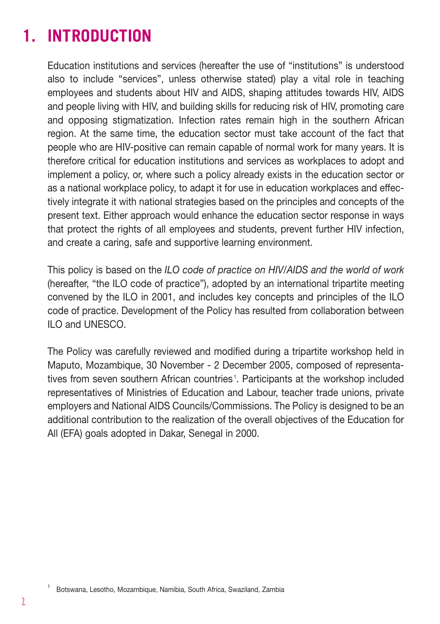# 1. INTRODUCTION

Education institutions and services (hereafter the use of "institutions" is understood also to include "services", unless otherwise stated) play a vital role in teaching employees and students about HIV and AIDS, shaping attitudes towards HIV, AIDS and people living with HIV, and building skills for reducing risk of HIV, promoting care and opposing stigmatization. Infection rates remain high in the southern African region. At the same time, the education sector must take account of the fact that people who are HIV-positive can remain capable of normal work for many years. It is therefore critical for education institutions and services as workplaces to adopt and implement a policy, or, where such a policy already exists in the education sector or as a national workplace policy, to adapt it for use in education workplaces and effectively integrate it with national strategies based on the principles and concepts of the present text. Either approach would enhance the education sector response in ways that protect the rights of all employees and students, prevent further HIV infection, and create a caring, safe and supportive learning environment.

This policy is based on the *ILO code of practice on HIV/AIDS and the world of work* (hereafter, "the ILO code of practice"), adopted by an international tripartite meeting convened by the ILO in 2001, and includes key concepts and principles of the ILO code of practice. Development of the Policy has resulted from collaboration between ILO and UNESCO.

The Policy was carefully reviewed and modified during a tripartite workshop held in Maputo, Mozambique, 30 November - 2 December 2005, composed of representatives from seven southern African countries <sup>1</sup> . Participants at the workshop included representatives of Ministries of Education and Labour, teacher trade unions, private employers and National AIDS Councils/Commissions. The Policy is designed to be an additional contribution to the realization of the overall objectives of the Education for All (EFA) goals adopted in Dakar, Senegal in 2000.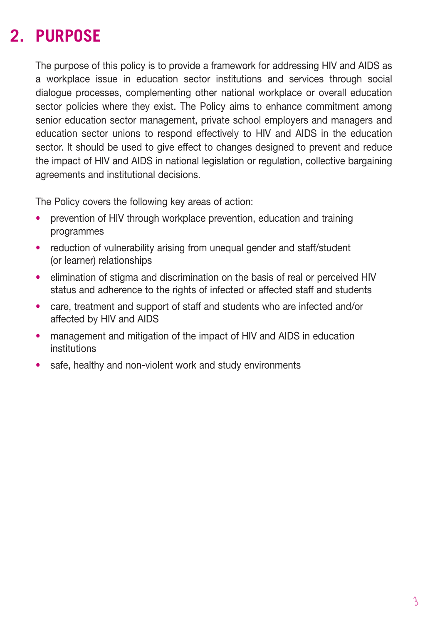# **PURPOSE 2.**

The purpose of this policy is to provide a framework for addressing HIV and AIDS as a workplace issue in education sector institutions and services through social dialogue processes, complementing other national workplace or overall education sector policies where they exist. The Policy aims to enhance commitment among senior education sector management, private school employers and managers and education sector unions to respond effectively to HIV and AIDS in the education sector. It should be used to give effect to changes designed to prevent and reduce the impact of HIV and AIDS in national legislation or regulation, collective bargaining agreements and institutional decisions.

The Policy covers the following key areas of action:

- prevention of HIV through workplace prevention, education and training programmes
- reduction of vulnerability arising from unequal gender and staff/student (or learner) relationships
- elimination of stigma and discrimination on the basis of real or perceived HIV status and adherence to the rights of infected or affected staff and students
- care, treatment and support of staff and students who are infected and/or affected by HIV and AIDS
- management and mitigation of the impact of HIV and AIDS in education institutions
- safe, healthy and non-violent work and study environments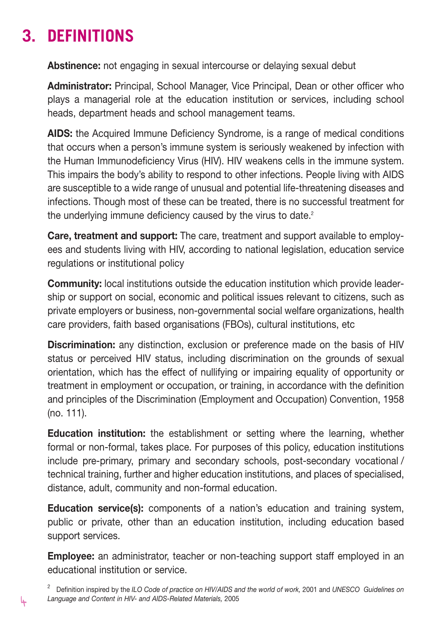# **DEFINITIONS 3.**

**Abstinence:** not engaging in sexual intercourse or delaying sexual debut

**Administrator:** Principal, School Manager, Vice Principal, Dean or other officer who plays a managerial role at the education institution or services, including school heads, department heads and school management teams.

**AIDS:** the Acquired Immune Deficiency Syndrome, is a range of medical conditions that occurs when a person's immune system is seriously weakened by infection with the Human Immunodeficiency Virus (HIV). HIV weakens cells in the immune system. This impairs the body's ability to respond to other infections. People living with AIDS are susceptible to a wide range of unusual and potential life-threatening diseases and infections. Though most of these can be treated, there is no successful treatment for the underlying immune deficiency caused by the virus to date.<sup>2</sup>

**Care, treatment and support:** The care, treatment and support available to employees and students living with HIV, according to national legislation, education service regulations or institutional policy

**Community:** local institutions outside the education institution which provide leadership or support on social, economic and political issues relevant to citizens, such as private employers or business, non-governmental social welfare organizations, health care providers, faith based organisations (FBOs), cultural institutions, etc

**Discrimination:** any distinction, exclusion or preference made on the basis of HIV status or perceived HIV status, including discrimination on the grounds of sexual orientation, which has the effect of nullifying or impairing equality of opportunity or treatment in employment or occupation, or training, in accordance with the definition and principles of the Discrimination (Employment and Occupation) Convention, 1958 (no. 111).

**Education institution:** the establishment or setting where the learning, whether formal or non-formal, takes place. For purposes of this policy, education institutions include pre-primary, primary and secondary schools, post-secondary vocational / technical training, further and higher education institutions, and places of specialised, distance, adult, community and non-formal education.

**Education service(s):** components of a nation's education and training system, public or private, other than an education institution, including education based support services.

**Employee:** an administrator, teacher or non-teaching support staff employed in an educational institution or service.

<sup>2</sup> Definition inspired by the *ILO Code of practice on HIV/AIDS and the world of work,* 2001 and *UNESCO Guidelines on Language and Content in HIV- and AIDS-Related Materials,* 2005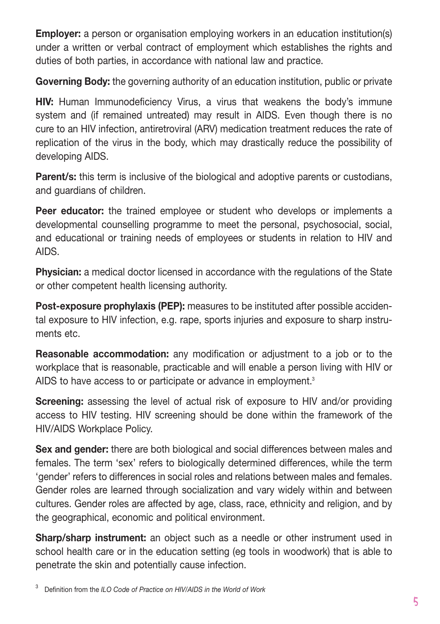**Employer:** a person or organisation employing workers in an education institution(s) under a written or verbal contract of employment which establishes the rights and duties of both parties, in accordance with national law and practice.

**Governing Body:** the governing authority of an education institution, public or private

**HIV:** Human Immunodeficiency Virus, a virus that weakens the body's immune system and (if remained untreated) may result in AIDS. Even though there is no cure to an HIV infection, antiretroviral (ARV) medication treatment reduces the rate of replication of the virus in the body, which may drastically reduce the possibility of developing AIDS.

**Parent/s:** this term is inclusive of the biological and adoptive parents or custodians, and guardians of children.

**Peer educator:** the trained employee or student who develops or implements a developmental counselling programme to meet the personal, psychosocial, social, and educational or training needs of employees or students in relation to HIV and AIDS.

**Physician:** a medical doctor licensed in accordance with the regulations of the State or other competent health licensing authority.

**Post-exposure prophylaxis (PEP):** measures to be instituted after possible accidental exposure to HIV infection, e.g. rape, sports injuries and exposure to sharp instruments etc.

**Reasonable accommodation:** any modification or adjustment to a job or to the workplace that is reasonable, practicable and will enable a person living with HIV or AIDS to have access to or participate or advance in employment.<sup>3</sup>

**Screening:** assessing the level of actual risk of exposure to HIV and/or providing access to HIV testing. HIV screening should be done within the framework of the HIV/AIDS Workplace Policy.

**Sex and gender:** there are both biological and social differences between males and females. The term 'sex' refers to biologically determined differences, while the term 'gender' refers to differences in social roles and relations between males and females. Gender roles are learned through socialization and vary widely within and between cultures. Gender roles are affected by age, class, race, ethnicity and religion, and by the geographical, economic and political environment.

**Sharp/sharp instrument:** an object such as a needle or other instrument used in school health care or in the education setting (eg tools in woodwork) that is able to penetrate the skin and potentially cause infection.

<sup>3</sup> Definition from the *ILO Code of Practice on HIV/AIDS in the World of Work*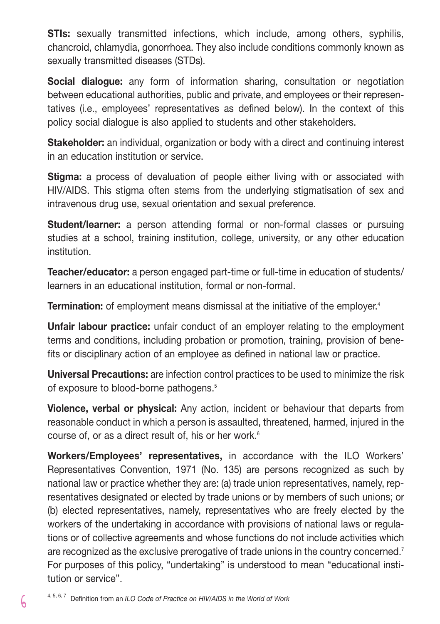**STIs:** sexually transmitted infections, which include, among others, syphilis, chancroid, chlamydia, gonorrhoea. They also include conditions commonly known as sexually transmitted diseases (STDs).

**Social dialogue:** any form of information sharing, consultation or negotiation between educational authorities, public and private, and employees or their representatives (i.e., employees' representatives as defined below). In the context of this policy social dialogue is also applied to students and other stakeholders.

**Stakeholder:** an individual, organization or body with a direct and continuing interest in an education institution or service.

**Stigma:** a process of devaluation of people either living with or associated with HIV/AIDS. This stigma often stems from the underlying stigmatisation of sex and intravenous drug use, sexual orientation and sexual preference.

**Student/learner:** a person attending formal or non-formal classes or pursuing studies at a school, training institution, college, university, or any other education institution.

**Teacher/educator:** a person engaged part-time or full-time in education of students/ learners in an educational institution, formal or non-formal.

**Termination:** of employment means dismissal at the initiative of the employer. 4

**Unfair labour practice:** unfair conduct of an employer relating to the employment terms and conditions, including probation or promotion, training, provision of benefits or disciplinary action of an employee as defined in national law or practice.

**Universal Precautions:** are infection control practices to be used to minimize the risk of exposure to blood-borne pathogens.<sup>5</sup>

**Violence, verbal or physical:** Any action, incident or behaviour that departs from reasonable conduct in which a person is assaulted, threatened, harmed, injured in the course of, or as a direct result of, his or her work.<sup>6</sup>

**Workers/Employees' representatives,** in accordance with the ILO Workers' Representatives Convention, 1971 (No. 135) are persons recognized as such by national law or practice whether they are: (a) trade union representatives, namely, representatives designated or elected by trade unions or by members of such unions; or (b) elected representatives, namely, representatives who are freely elected by the workers of the undertaking in accordance with provisions of national laws or regulations or of collective agreements and whose functions do not include activities which are recognized as the exclusive prerogative of trade unions in the country concerned.<sup>7</sup> For purposes of this policy, "undertaking" is understood to mean "educational institution or service".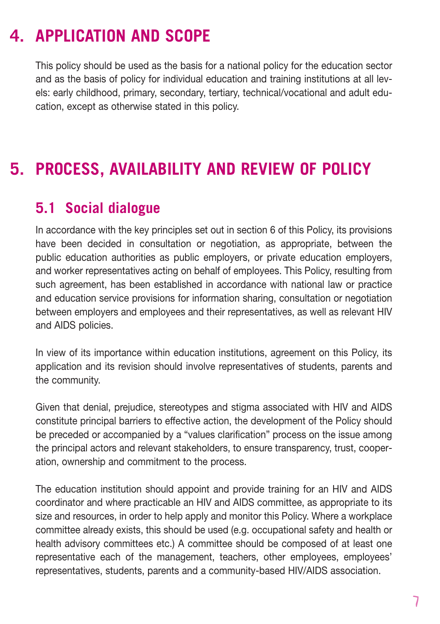# 4. APPLICATION AND SCOPE

This policy should be used as the basis for a national policy for the education sector and as the basis of policy for individual education and training institutions at all levels: early childhood, primary, secondary, tertiary, technical/vocational and adult education, except as otherwise stated in this policy.

# **PROCESS, AVAILABILITY AND REVIEW OF POLICY 5.**

# **5.1 Social dialogue**

In accordance with the key principles set out in section 6 of this Policy, its provisions have been decided in consultation or negotiation, as appropriate, between the public education authorities as public employers, or private education employers, and worker representatives acting on behalf of employees. This Policy, resulting from such agreement, has been established in accordance with national law or practice and education service provisions for information sharing, consultation or negotiation between employers and employees and their representatives, as well as relevant HIV and AIDS policies.

In view of its importance within education institutions, agreement on this Policy, its application and its revision should involve representatives of students, parents and the community.

Given that denial, prejudice, stereotypes and stigma associated with HIV and AIDS constitute principal barriers to effective action, the development of the Policy should be preceded or accompanied by a "values clarification" process on the issue among the principal actors and relevant stakeholders, to ensure transparency, trust, cooperation, ownership and commitment to the process.

The education institution should appoint and provide training for an HIV and AIDS coordinator and where practicable an HIV and AIDS committee, as appropriate to its size and resources, in order to help apply and monitor this Policy. Where a workplace committee already exists, this should be used (e.g. occupational safety and health or health advisory committees etc.) A committee should be composed of at least one representative each of the management, teachers, other employees, employees' representatives, students, parents and a community-based HIV/AIDS association.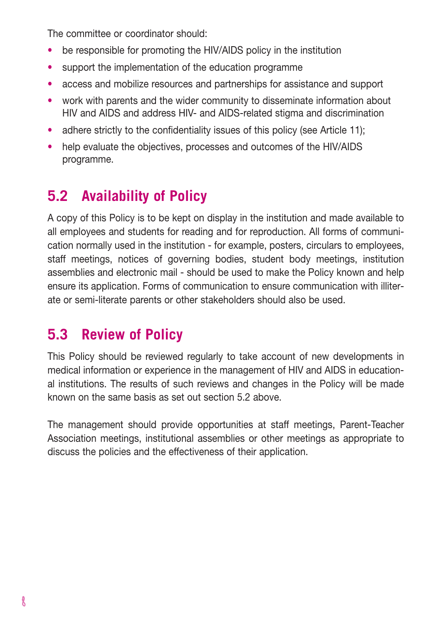The committee or coordinator should:

- be responsible for promoting the HIV/AIDS policy in the institution
- support the implementation of the education programme
- access and mobilize resources and partnerships for assistance and support
- work with parents and the wider community to disseminate information about HIV and AIDS and address HIV- and AIDS-related stigma and discrimination
- adhere strictly to the confidentiality issues of this policy (see Article 11);
- help evaluate the objectives, processes and outcomes of the HIV/AIDS programme.

# **5.2 Availability of Policy**

A copy of this Policy is to be kept on display in the institution and made available to all employees and students for reading and for reproduction. All forms of communication normally used in the institution - for example, posters, circulars to employees, staff meetings, notices of governing bodies, student body meetings, institution assemblies and electronic mail - should be used to make the Policy known and help ensure its application. Forms of communication to ensure communication with illiterate or semi-literate parents or other stakeholders should also be used.

# **5.3 Review of Policy**

This Policy should be reviewed regularly to take account of new developments in medical information or experience in the management of HIV and AIDS in educational institutions. The results of such reviews and changes in the Policy will be made known on the same basis as set out section 5.2 above.

The management should provide opportunities at staff meetings, Parent-Teacher Association meetings, institutional assemblies or other meetings as appropriate to discuss the policies and the effectiveness of their application.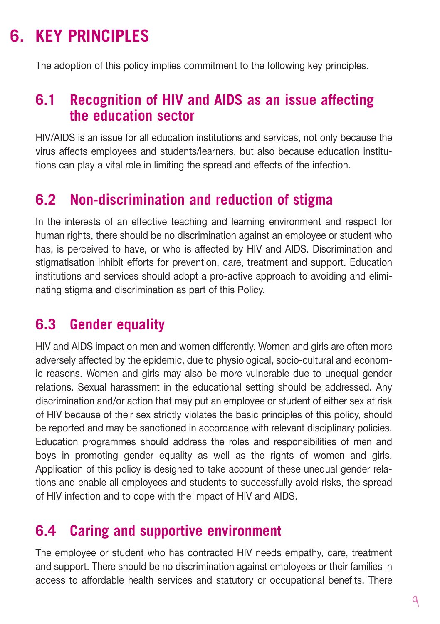# **KEY PRINCIPLES 6.**

The adoption of this policy implies commitment to the following key principles.

## **6.1 Recognition of HIV and AIDS as an issue affecting the education sector**

HIV/AIDS is an issue for all education institutions and services, not only because the virus affects employees and students/learners, but also because education institutions can play a vital role in limiting the spread and effects of the infection.

## **6.2 Non-discrimination and reduction of stigma**

In the interests of an effective teaching and learning environment and respect for human rights, there should be no discrimination against an employee or student who has, is perceived to have, or who is affected by HIV and AIDS. Discrimination and stigmatisation inhibit efforts for prevention, care, treatment and support. Education institutions and services should adopt a pro-active approach to avoiding and eliminating stigma and discrimination as part of this Policy.

# **6.3 Gender equality**

HIV and AIDS impact on men and women differently. Women and girls are often more adversely affected by the epidemic, due to physiological, socio-cultural and economic reasons. Women and girls may also be more vulnerable due to unequal gender relations. Sexual harassment in the educational setting should be addressed. Any discrimination and/or action that may put an employee or student of either sex at risk of HIV because of their sex strictly violates the basic principles of this policy, should be reported and may be sanctioned in accordance with relevant disciplinary policies. Education programmes should address the roles and responsibilities of men and boys in promoting gender equality as well as the rights of women and girls. Application of this policy is designed to take account of these unequal gender relations and enable all employees and students to successfully avoid risks, the spread of HIV infection and to cope with the impact of HIV and AIDS.

# **6.4 Caring and supportive environment**

The employee or student who has contracted HIV needs empathy, care, treatment and support. There should be no discrimination against employees or their families in access to affordable health services and statutory or occupational benefits. There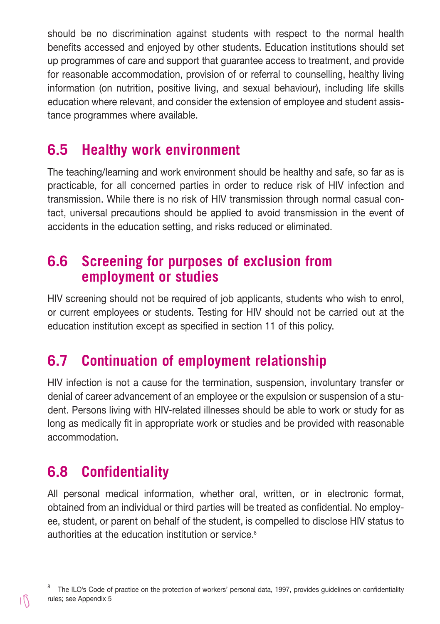should be no discrimination against students with respect to the normal health benefits accessed and enjoyed by other students. Education institutions should set up programmes of care and support that guarantee access to treatment, and provide for reasonable accommodation, provision of or referral to counselling, healthy living information (on nutrition, positive living, and sexual behaviour), including life skills education where relevant, and consider the extension of employee and student assistance programmes where available.

# **6.5 Healthy work environment**

The teaching/learning and work environment should be healthy and safe, so far as is practicable, for all concerned parties in order to reduce risk of HIV infection and transmission. While there is no risk of HIV transmission through normal casual contact, universal precautions should be applied to avoid transmission in the event of accidents in the education setting, and risks reduced or eliminated.

# **6.6 Screening for purposes of exclusion from employment or studies**

HIV screening should not be required of job applicants, students who wish to enrol, or current employees or students. Testing for HIV should not be carried out at the education institution except as specified in section 11 of this policy.

# **6.7 Continuation of employment relationship**

HIV infection is not a cause for the termination, suspension, involuntary transfer or denial of career advancement of an employee or the expulsion or suspension of a student. Persons living with HIV-related illnesses should be able to work or study for as long as medically fit in appropriate work or studies and be provided with reasonable accommodation.

# **6.8 Confidentiality**

 $10$ 

All personal medical information, whether oral, written, or in electronic format, obtained from an individual or third parties will be treated as confidential. No employee, student, or parent on behalf of the student, is compelled to disclose HIV status to authorities at the education institution or service. $8$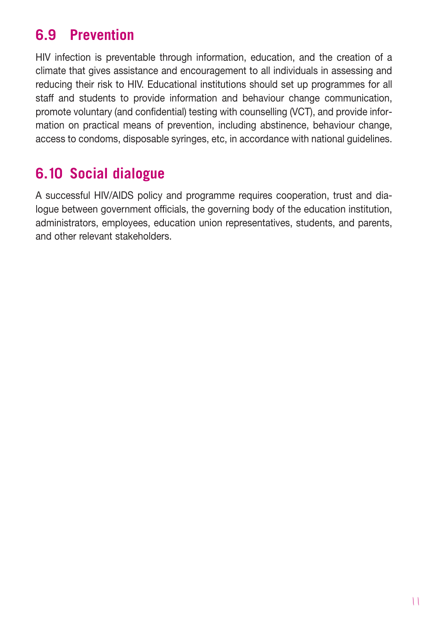# **6.9 Prevention**

HIV infection is preventable through information, education, and the creation of a climate that gives assistance and encouragement to all individuals in assessing and reducing their risk to HIV. Educational institutions should set up programmes for all staff and students to provide information and behaviour change communication, promote voluntary (and confidential) testing with counselling (VCT), and provide information on practical means of prevention, including abstinence, behaviour change, access to condoms, disposable syringes, etc, in accordance with national guidelines.

# **6.10 Social dialogue**

A successful HIV/AIDS policy and programme requires cooperation, trust and dialogue between government officials, the governing body of the education institution, administrators, employees, education union representatives, students, and parents, and other relevant stakeholders.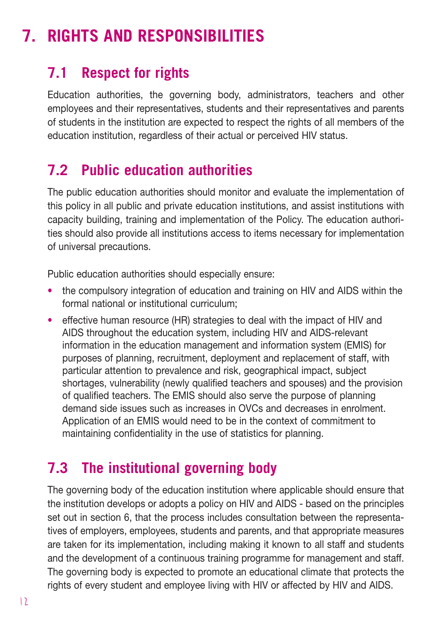# **RIGHTS AND RESPONSIBILITIES 7.**

# **7.1 Respect for rights**

Education authorities, the governing body, administrators, teachers and other employees and their representatives, students and their representatives and parents of students in the institution are expected to respect the rights of all members of the education institution, regardless of their actual or perceived HIV status.

# **7.2 Public education authorities**

The public education authorities should monitor and evaluate the implementation of this policy in all public and private education institutions, and assist institutions with capacity building, training and implementation of the Policy. The education authorities should also provide all institutions access to items necessary for implementation of universal precautions.

Public education authorities should especially ensure:

- the compulsory integration of education and training on HIV and AIDS within the formal national or institutional curriculum;
- effective human resource (HR) strategies to deal with the impact of HIV and AIDS throughout the education system, including HIV and AIDS-relevant information in the education management and information system (EMIS) for purposes of planning, recruitment, deployment and replacement of staff, with particular attention to prevalence and risk, geographical impact, subject shortages, vulnerability (newly qualified teachers and spouses) and the provision of qualified teachers. The EMIS should also serve the purpose of planning demand side issues such as increases in OVCs and decreases in enrolment. Application of an EMIS would need to be in the context of commitment to maintaining confidentiality in the use of statistics for planning.

# **7.3 The institutional governing body**

The governing body of the education institution where applicable should ensure that the institution develops or adopts a policy on HIV and AIDS - based on the principles set out in section 6, that the process includes consultation between the representatives of employers, employees, students and parents, and that appropriate measures are taken for its implementation, including making it known to all staff and students and the development of a continuous training programme for management and staff. The governing body is expected to promote an educational climate that protects the rights of every student and employee living with HIV or affected by HIV and AIDS.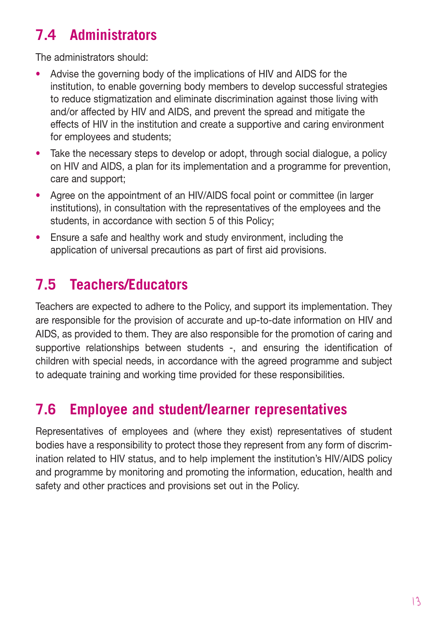# **7.4 Administrators**

The administrators should:

- Advise the governing body of the implications of HIV and AIDS for the institution, to enable governing body members to develop successful strategies to reduce stigmatization and eliminate discrimination against those living with and/or affected by HIV and AIDS, and prevent the spread and mitigate the effects of HIV in the institution and create a supportive and caring environment for employees and students;
- Take the necessary steps to develop or adopt, through social dialogue, a policy on HIV and AIDS, a plan for its implementation and a programme for prevention, care and support;
- Agree on the appointment of an HIV/AIDS focal point or committee (in larger institutions), in consultation with the representatives of the employees and the students, in accordance with section 5 of this Policy;
- Ensure a safe and healthy work and study environment, including the application of universal precautions as part of first aid provisions.

# **7.5 Teachers/Educators**

Teachers are expected to adhere to the Policy, and support its implementation. They are responsible for the provision of accurate and up-to-date information on HIV and AIDS, as provided to them. They are also responsible for the promotion of caring and supportive relationships between students -, and ensuring the identification of children with special needs, in accordance with the agreed programme and subject to adequate training and working time provided for these responsibilities.

# **7.6 Employee and student/learner representatives**

Representatives of employees and (where they exist) representatives of student bodies have a responsibility to protect those they represent from any form of discrimination related to HIV status, and to help implement the institution's HIV/AIDS policy and programme by monitoring and promoting the information, education, health and safety and other practices and provisions set out in the Policy.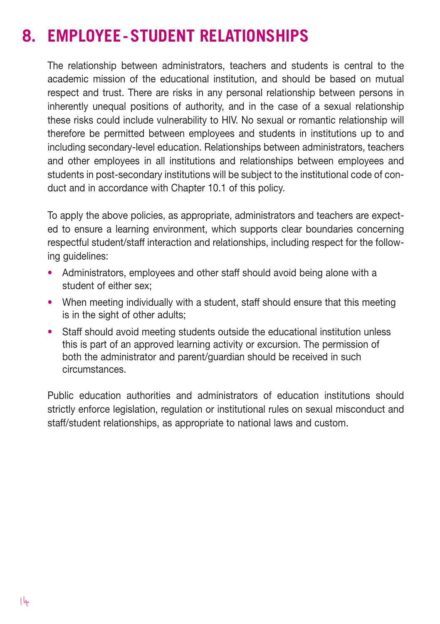# **EMPLOYEE-STUDENT RELATIONSHIPS 8.**

The relationship between administrators, teachers and students is central to the academic mission of the educational institution, and should be based on mutual respect and trust. There are risks in any personal relationship between persons in inherently unequal positions of authority, and in the case of a sexual relationship these risks could include vulnerability to HIV. No sexual or romantic relationship will therefore be permitted between employees and students in institutions up to and including secondary-level education. Relationships between administrators, teachers and other employees in all institutions and relationships between employees and students in post-secondary institutions will be subject to the institutional code of conduct and in accordance with Chapter 10.1 of this policy.

To apply the above policies, as appropriate, administrators and teachers are expected to ensure a learning environment, which supports clear boundaries concerning respectful student/staff interaction and relationships, including respect for the following guidelines:

- Administrators, employees and other staff should avoid being alone with a student of either sex;
- When meeting individually with a student, staff should ensure that this meeting is in the sight of other adults:
- Staff should avoid meeting students outside the educational institution unless this is part of an approved learning activity or excursion. The permission of both the administrator and parent/guardian should be received in such circumstances.

Public education authorities and administrators of education institutions should strictly enforce legislation, regulation or institutional rules on sexual misconduct and staff/student relationships, as appropriate to national laws and custom.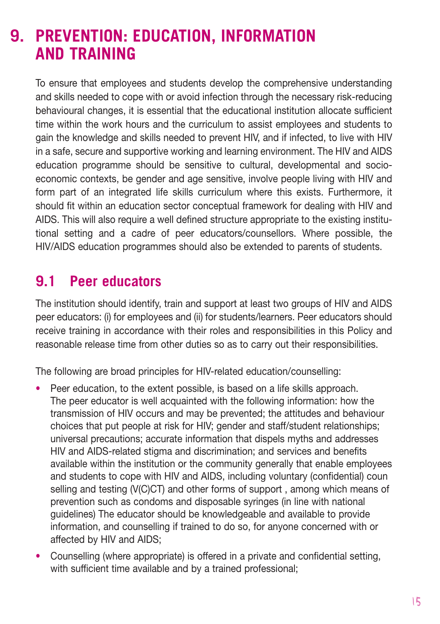# **PREVENTION: EDUCATION, INFORMATION 9.AND TRAINING**

To ensure that employees and students develop the comprehensive understanding and skills needed to cope with or avoid infection through the necessary risk-reducing behavioural changes, it is essential that the educational institution allocate sufficient time within the work hours and the curriculum to assist employees and students to gain the knowledge and skills needed to prevent HIV, and if infected, to live with HIV in a safe, secure and supportive working and learning environment. The HIV and AIDS education programme should be sensitive to cultural, developmental and socioeconomic contexts, be gender and age sensitive, involve people living with HIV and form part of an integrated life skills curriculum where this exists. Furthermore, it should fit within an education sector conceptual framework for dealing with HIV and AIDS. This will also require a well defined structure appropriate to the existing institutional setting and a cadre of peer educators/counsellors. Where possible, the HIV/AIDS education programmes should also be extended to parents of students.

# **9.1 Peer educators**

The institution should identify, train and support at least two groups of HIV and AIDS peer educators: (i) for employees and (ii) for students/learners. Peer educators should receive training in accordance with their roles and responsibilities in this Policy and reasonable release time from other duties so as to carry out their responsibilities.

The following are broad principles for HIV-related education/counselling:

- Peer education, to the extent possible, is based on a life skills approach. The peer educator is well acquainted with the following information: how the transmission of HIV occurs and may be prevented; the attitudes and behaviour choices that put people at risk for HIV; gender and staff/student relationships; universal precautions; accurate information that dispels myths and addresses HIV and AIDS-related stigma and discrimination; and services and benefits available within the institution or the community generally that enable employees and students to cope with HIV and AIDS, including voluntary (confidential) coun selling and testing (V(C)CT) and other forms of support , among which means of prevention such as condoms and disposable syringes (in line with national guidelines) The educator should be knowledgeable and available to provide information, and counselling if trained to do so, for anyone concerned with or affected by HIV and AIDS;
- Counselling (where appropriate) is offered in a private and confidential setting, with sufficient time available and by a trained professional;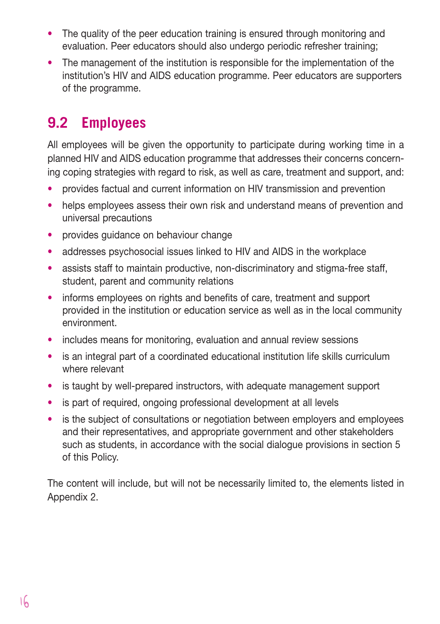- The quality of the peer education training is ensured through monitoring and evaluation. Peer educators should also undergo periodic refresher training;
- The management of the institution is responsible for the implementation of the institution's HIV and AIDS education programme. Peer educators are supporters of the programme.

# **9.2 Employees**

All employees will be given the opportunity to participate during working time in a planned HIV and AIDS education programme that addresses their concerns concerning coping strategies with regard to risk, as well as care, treatment and support, and:

- provides factual and current information on HIV transmission and prevention
- helps employees assess their own risk and understand means of prevention and universal precautions
- provides quidance on behaviour change
- addresses psychosocial issues linked to HIV and AIDS in the workplace
- assists staff to maintain productive, non-discriminatory and stigma-free staff, student, parent and community relations
- informs employees on rights and benefits of care, treatment and support provided in the institution or education service as well as in the local community environment.
- includes means for monitoring, evaluation and annual review sessions
- is an integral part of a coordinated educational institution life skills curriculum where relevant
- is taught by well-prepared instructors, with adequate management support
- is part of required, ongoing professional development at all levels
- is the subject of consultations or negotiation between employers and employees and their representatives, and appropriate government and other stakeholders such as students, in accordance with the social dialogue provisions in section 5 of this Policy.

The content will include, but will not be necessarily limited to, the elements listed in Appendix 2.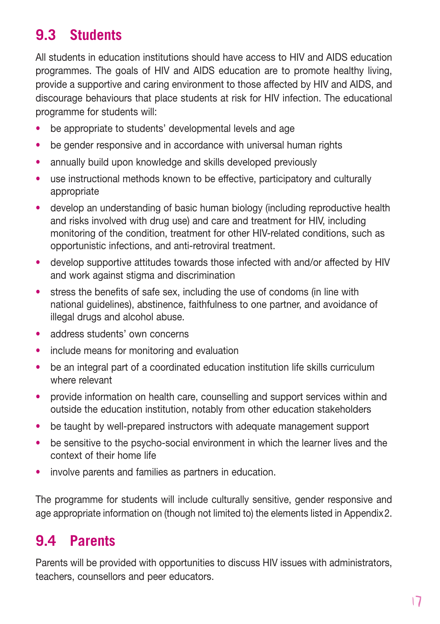# **9.3 Students**

All students in education institutions should have access to HIV and AIDS education programmes. The goals of HIV and AIDS education are to promote healthy living, provide a supportive and caring environment to those affected by HIV and AIDS, and discourage behaviours that place students at risk for HIV infection. The educational programme for students will:

- be appropriate to students' developmental levels and age
- be gender responsive and in accordance with universal human rights
- annually build upon knowledge and skills developed previously
- use instructional methods known to be effective, participatory and culturally appropriate
- develop an understanding of basic human biology (including reproductive health and risks involved with drug use) and care and treatment for HIV, including monitoring of the condition, treatment for other HIV-related conditions, such as opportunistic infections, and anti-retroviral treatment.
- develop supportive attitudes towards those infected with and/or affected by HIV and work against stigma and discrimination
- stress the benefits of safe sex, including the use of condoms (in line with national guidelines), abstinence, faithfulness to one partner, and avoidance of illegal drugs and alcohol abuse.
- address students' own concerns
- include means for monitoring and evaluation
- be an integral part of a coordinated education institution life skills curriculum where relevant
- provide information on health care, counselling and support services within and outside the education institution, notably from other education stakeholders
- be taught by well-prepared instructors with adequate management support
- be sensitive to the psycho-social environment in which the learner lives and the context of their home life
- involve parents and families as partners in education.

The programme for students will include culturally sensitive, gender responsive and age appropriate information on (though not limited to) the elements listed in Appendix2.

# **9.4 Parents**

Parents will be provided with opportunities to discuss HIV issues with administrators, teachers, counsellors and peer educators.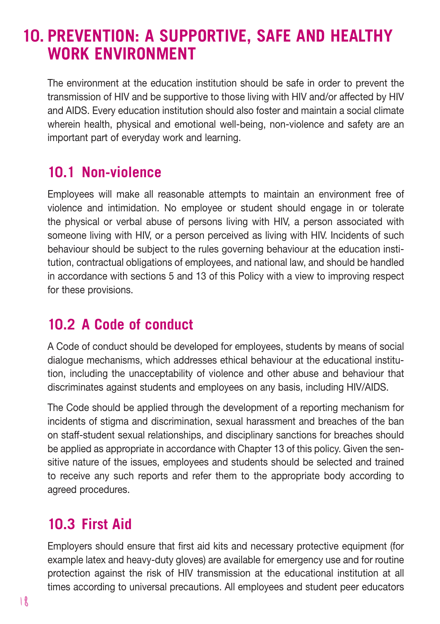# **PREVENTION: A SUPPORTIVE, SAFE AND HEALTHY 10.WORK ENVIRONMENT**

The environment at the education institution should be safe in order to prevent the transmission of HIV and be supportive to those living with HIV and/or affected by HIV and AIDS. Every education institution should also foster and maintain a social climate wherein health, physical and emotional well-being, non-violence and safety are an important part of everyday work and learning.

# **10.1 Non-violence**

Employees will make all reasonable attempts to maintain an environment free of violence and intimidation. No employee or student should engage in or tolerate the physical or verbal abuse of persons living with HIV, a person associated with someone living with HIV, or a person perceived as living with HIV. Incidents of such behaviour should be subject to the rules governing behaviour at the education institution, contractual obligations of employees, and national law, and should be handled in accordance with sections 5 and 13 of this Policy with a view to improving respect for these provisions.

# **10.2 A Code of conduct**

A Code of conduct should be developed for employees, students by means of social dialogue mechanisms, which addresses ethical behaviour at the educational institution, including the unacceptability of violence and other abuse and behaviour that discriminates against students and employees on any basis, including HIV/AIDS.

The Code should be applied through the development of a reporting mechanism for incidents of stigma and discrimination, sexual harassment and breaches of the ban on staff-student sexual relationships, and disciplinary sanctions for breaches should be applied as appropriate in accordance with Chapter 13 of this policy. Given the sensitive nature of the issues, employees and students should be selected and trained to receive any such reports and refer them to the appropriate body according to agreed procedures.

# **10.3 First Aid**

Employers should ensure that first aid kits and necessary protective equipment (for example latex and heavy-duty gloves) are available for emergency use and for routine protection against the risk of HIV transmission at the educational institution at all times according to universal precautions. All employees and student peer educators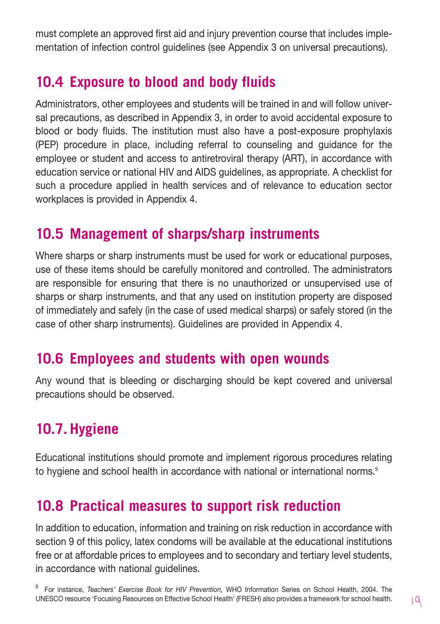must complete an approved first aid and injury prevention course that includes implementation of infection control guidelines (see Appendix 3 on universal precautions).

# **10.4 Exposure to blood and body fluids**

Administrators, other employees and students will be trained in and will follow universal precautions, as described in Appendix 3, in order to avoid accidental exposure to blood or body fluids. The institution must also have a post-exposure prophylaxis (PEP) procedure in place, including referral to counseling and guidance for the employee or student and access to antiretroviral therapy (ART), in accordance with education service or national HIV and AIDS guidelines, as appropriate. A checklist for such a procedure applied in health services and of relevance to education sector workplaces is provided in Appendix 4.

# **10.5 Management of sharps/sharp instruments**

Where sharps or sharp instruments must be used for work or educational purposes, use of these items should be carefully monitored and controlled. The administrators are responsible for ensuring that there is no unauthorized or unsupervised use of sharps or sharp instruments, and that any used on institution property are disposed of immediately and safely (in the case of used medical sharps) or safely stored (in the case of other sharp instruments). Guidelines are provided in Appendix 4.

# **10.6 Employees and students with open wounds**

Any wound that is bleeding or discharging should be kept covered and universal precautions should be observed.

# **10.7. Hygiene**

Educational institutions should promote and implement rigorous procedures relating to hygiene and school health in accordance with national or international norms.<sup>9</sup>

# **10.8 Practical measures to support risk reduction**

In addition to education, information and training on risk reduction in accordance with section 9 of this policy, latex condoms will be available at the educational institutions free or at affordable prices to employees and to secondary and tertiary level students, in accordance with national guidelines.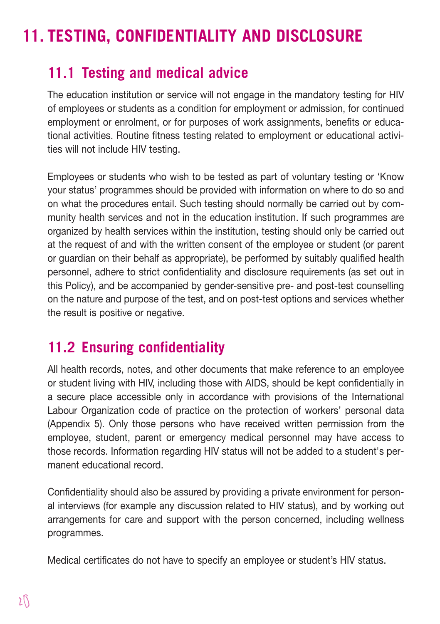# **TESTING, CONFIDENTIALITY AND DISCLOSURE 11.**

# **11.1 Testing and medical advice**

The education institution or service will not engage in the mandatory testing for HIV of employees or students as a condition for employment or admission, for continued employment or enrolment, or for purposes of work assignments, benefits or educational activities. Routine fitness testing related to employment or educational activities will not include HIV testing.

Employees or students who wish to be tested as part of voluntary testing or 'Know your status' programmes should be provided with information on where to do so and on what the procedures entail. Such testing should normally be carried out by community health services and not in the education institution. If such programmes are organized by health services within the institution, testing should only be carried out at the request of and with the written consent of the employee or student (or parent or guardian on their behalf as appropriate), be performed by suitably qualified health personnel, adhere to strict confidentiality and disclosure requirements (as set out in this Policy), and be accompanied by gender-sensitive pre- and post-test counselling on the nature and purpose of the test, and on post-test options and services whether the result is positive or negative.

# **11.2 Ensuring confidentiality**

All health records, notes, and other documents that make reference to an employee or student living with HIV, including those with AIDS, should be kept confidentially in a secure place accessible only in accordance with provisions of the International Labour Organization code of practice on the protection of workers' personal data (Appendix 5). Only those persons who have received written permission from the employee, student, parent or emergency medical personnel may have access to those records. Information regarding HIV status will not be added to a student's permanent educational record.

Confidentiality should also be assured by providing a private environment for personal interviews (for example any discussion related to HIV status), and by working out arrangements for care and support with the person concerned, including wellness programmes.

Medical certificates do not have to specify an employee or student's HIV status.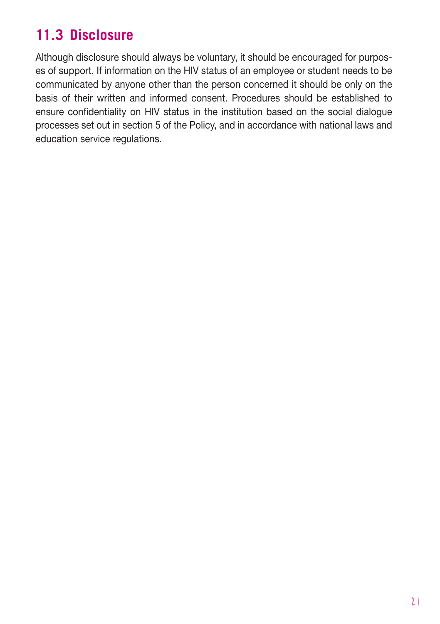# **11.3 Disclosure**

Although disclosure should always be voluntary, it should be encouraged for purposes of support. If information on the HIV status of an employee or student needs to be communicated by anyone other than the person concerned it should be only on the basis of their written and informed consent. Procedures should be established to ensure confidentiality on HIV status in the institution based on the social dialogue processes set out in section 5 of the Policy, and in accordance with national laws and education service regulations.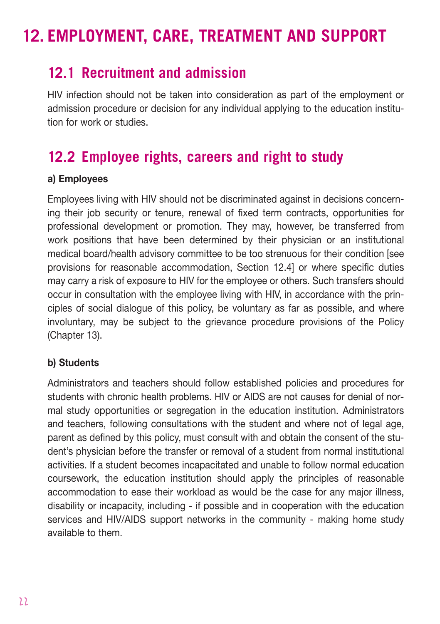# **EMPLOYMENT, CARE, TREATMENT AND SUPPORT 12.**

## **12.1 Recruitment and admission**

HIV infection should not be taken into consideration as part of the employment or admission procedure or decision for any individual applying to the education institution for work or studies.

# **12.2 Employee rights, careers and right to study**

#### **a) Employees**

Employees living with HIV should not be discriminated against in decisions concerning their job security or tenure, renewal of fixed term contracts, opportunities for professional development or promotion. They may, however, be transferred from work positions that have been determined by their physician or an institutional medical board/health advisory committee to be too strenuous for their condition [see provisions for reasonable accommodation, Section 12.4] or where specific duties may carry a risk of exposure to HIV for the employee or others. Such transfers should occur in consultation with the employee living with HIV, in accordance with the principles of social dialogue of this policy, be voluntary as far as possible, and where involuntary, may be subject to the grievance procedure provisions of the Policy (Chapter 13).

#### **b) Students**

Administrators and teachers should follow established policies and procedures for students with chronic health problems. HIV or AIDS are not causes for denial of normal study opportunities or segregation in the education institution. Administrators and teachers, following consultations with the student and where not of legal age, parent as defined by this policy, must consult with and obtain the consent of the student's physician before the transfer or removal of a student from normal institutional activities. If a student becomes incapacitated and unable to follow normal education coursework, the education institution should apply the principles of reasonable accommodation to ease their workload as would be the case for any major illness, disability or incapacity, including - if possible and in cooperation with the education services and HIV/AIDS support networks in the community - making home study available to them.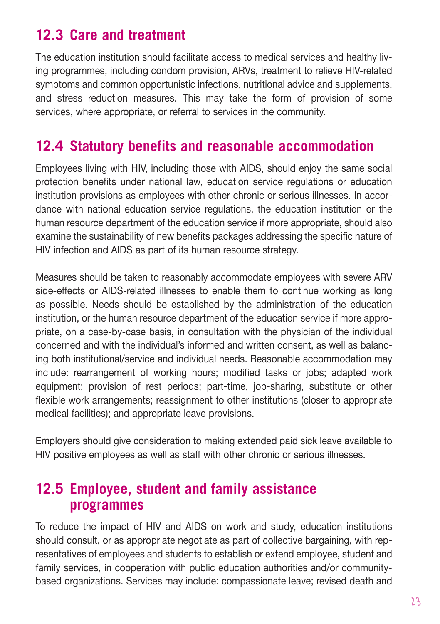# **12.3 Care and treatment**

The education institution should facilitate access to medical services and healthy living programmes, including condom provision, ARVs, treatment to relieve HIV-related symptoms and common opportunistic infections, nutritional advice and supplements, and stress reduction measures. This may take the form of provision of some services, where appropriate, or referral to services in the community.

# **12.4 Statutory benefits and reasonable accommodation**

Employees living with HIV, including those with AIDS, should enjoy the same social protection benefits under national law, education service regulations or education institution provisions as employees with other chronic or serious illnesses. In accordance with national education service regulations, the education institution or the human resource department of the education service if more appropriate, should also examine the sustainability of new benefits packages addressing the specific nature of HIV infection and AIDS as part of its human resource strategy.

Measures should be taken to reasonably accommodate employees with severe ARV side-effects or AIDS-related illnesses to enable them to continue working as long as possible. Needs should be established by the administration of the education institution, or the human resource department of the education service if more appropriate, on a case-by-case basis, in consultation with the physician of the individual concerned and with the individual's informed and written consent, as well as balancing both institutional/service and individual needs. Reasonable accommodation may include: rearrangement of working hours; modified tasks or jobs; adapted work equipment; provision of rest periods; part-time, job-sharing, substitute or other flexible work arrangements; reassignment to other institutions (closer to appropriate medical facilities); and appropriate leave provisions.

Employers should give consideration to making extended paid sick leave available to HIV positive employees as well as staff with other chronic or serious illnesses.

## **12.5 Employee, student and family assistance programmes**

To reduce the impact of HIV and AIDS on work and study, education institutions should consult, or as appropriate negotiate as part of collective bargaining, with representatives of employees and students to establish or extend employee, student and family services, in cooperation with public education authorities and/or communitybased organizations. Services may include: compassionate leave; revised death and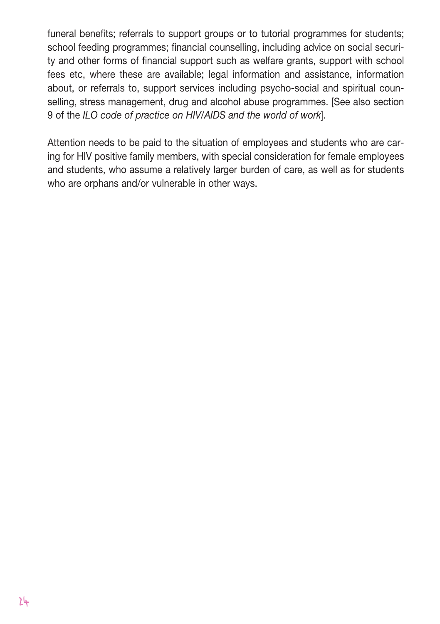funeral benefits; referrals to support groups or to tutorial programmes for students; school feeding programmes; financial counselling, including advice on social security and other forms of financial support such as welfare grants, support with school fees etc, where these are available; legal information and assistance, information about, or referrals to, support services including psycho-social and spiritual counselling, stress management, drug and alcohol abuse programmes. [See also section 9 of the *ILO code of practice on HIV/AIDS and the world of work*].

Attention needs to be paid to the situation of employees and students who are caring for HIV positive family members, with special consideration for female employees and students, who assume a relatively larger burden of care, as well as for students who are orphans and/or vulnerable in other ways.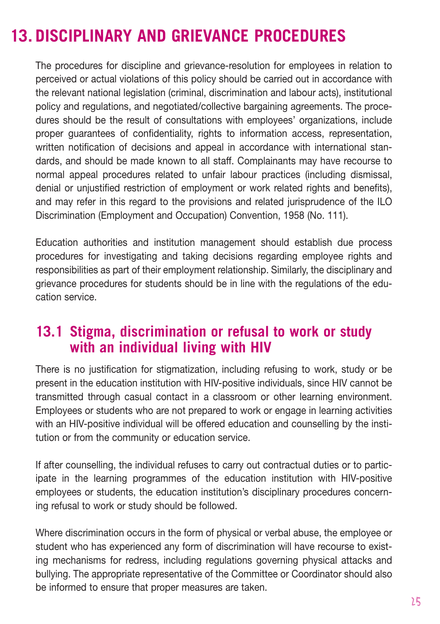# **13. DISCIPLINARY AND GRIEVANCE PROCEDURES**

The procedures for discipline and grievance-resolution for employees in relation to perceived or actual violations of this policy should be carried out in accordance with the relevant national legislation (criminal, discrimination and labour acts), institutional policy and regulations, and negotiated/collective bargaining agreements. The procedures should be the result of consultations with employees' organizations, include proper guarantees of confidentiality, rights to information access, representation, written notification of decisions and appeal in accordance with international standards, and should be made known to all staff. Complainants may have recourse to normal appeal procedures related to unfair labour practices (including dismissal, denial or unjustified restriction of employment or work related rights and benefits), and may refer in this regard to the provisions and related jurisprudence of the ILO Discrimination (Employment and Occupation) Convention, 1958 (No. 111).

Education authorities and institution management should establish due process procedures for investigating and taking decisions regarding employee rights and responsibilities as part of their employment relationship. Similarly, the disciplinary and grievance procedures for students should be in line with the regulations of the education service.

## **13.1 Stigma, discrimination or refusal to work or study with an individual living with HIV**

There is no justification for stigmatization, including refusing to work, study or be present in the education institution with HIV-positive individuals, since HIV cannot be transmitted through casual contact in a classroom or other learning environment. Employees or students who are not prepared to work or engage in learning activities with an HIV-positive individual will be offered education and counselling by the institution or from the community or education service.

If after counselling, the individual refuses to carry out contractual duties or to participate in the learning programmes of the education institution with HIV-positive employees or students, the education institution's disciplinary procedures concerning refusal to work or study should be followed.

Where discrimination occurs in the form of physical or verbal abuse, the employee or student who has experienced any form of discrimination will have recourse to existing mechanisms for redress, including regulations governing physical attacks and bullying. The appropriate representative of the Committee or Coordinator should also be informed to ensure that proper measures are taken.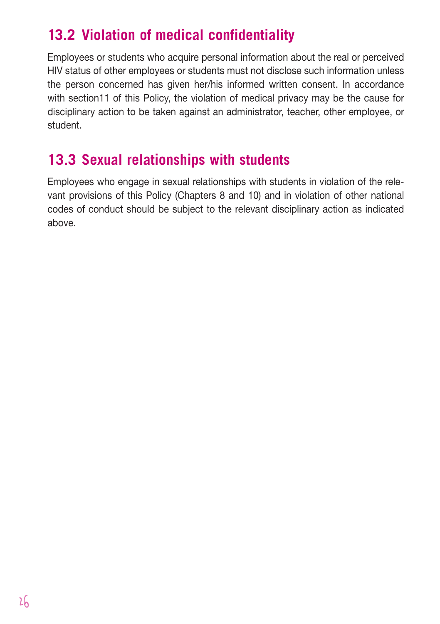# **13.2 Violation of medical confidentiality**

Employees or students who acquire personal information about the real or perceived HIV status of other employees or students must not disclose such information unless the person concerned has given her/his informed written consent. In accordance with section11 of this Policy, the violation of medical privacy may be the cause for disciplinary action to be taken against an administrator, teacher, other employee, or student.

# **13.3 Sexual relationships with students**

Employees who engage in sexual relationships with students in violation of the relevant provisions of this Policy (Chapters 8 and 10) and in violation of other national codes of conduct should be subject to the relevant disciplinary action as indicated above.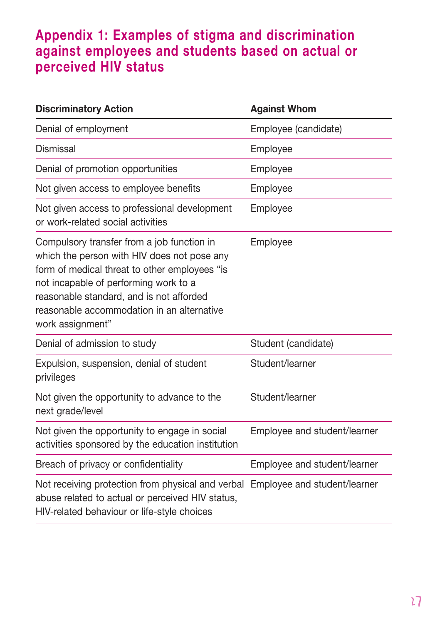# **Appendix 1: Examples of stigma and discrimination against employees and students based on actual or perceived HIV status**

| <b>Discriminatory Action</b>                                                                                                                                                                                                                                                                      | <b>Against Whom</b>          |
|---------------------------------------------------------------------------------------------------------------------------------------------------------------------------------------------------------------------------------------------------------------------------------------------------|------------------------------|
| Denial of employment                                                                                                                                                                                                                                                                              | Employee (candidate)         |
| <b>Dismissal</b>                                                                                                                                                                                                                                                                                  | Employee                     |
| Denial of promotion opportunities                                                                                                                                                                                                                                                                 | Employee                     |
| Not given access to employee benefits                                                                                                                                                                                                                                                             | Employee                     |
| Not given access to professional development<br>or work-related social activities                                                                                                                                                                                                                 | Employee                     |
| Compulsory transfer from a job function in<br>which the person with HIV does not pose any<br>form of medical threat to other employees "is<br>not incapable of performing work to a<br>reasonable standard, and is not afforded<br>reasonable accommodation in an alternative<br>work assignment" | Employee                     |
| Denial of admission to study                                                                                                                                                                                                                                                                      | Student (candidate)          |
| Expulsion, suspension, denial of student<br>privileges                                                                                                                                                                                                                                            | Student/learner              |
| Not given the opportunity to advance to the<br>next grade/level                                                                                                                                                                                                                                   | Student/learner              |
| Not given the opportunity to engage in social<br>activities sponsored by the education institution                                                                                                                                                                                                | Employee and student/learner |
| Breach of privacy or confidentiality                                                                                                                                                                                                                                                              | Employee and student/learner |
| Not receiving protection from physical and verbal Employee and student/learner<br>abuse related to actual or perceived HIV status,<br>HIV-related behaviour or life-style choices                                                                                                                 |                              |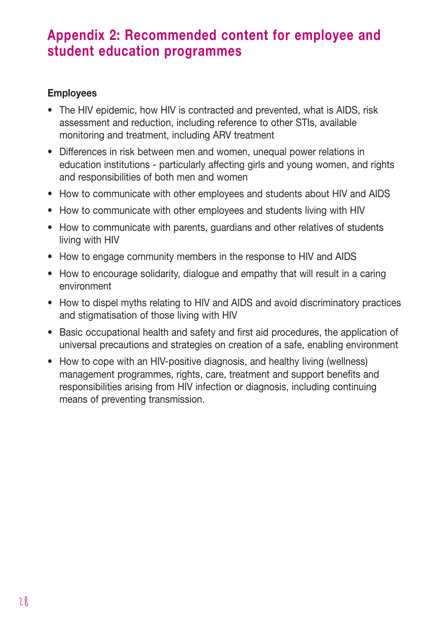## **Appendix 2: Recommended content for employee and student education programmes**

#### **Employees**

- The HIV epidemic, how HIV is contracted and prevented, what is AIDS, risk assessment and reduction, including reference to other STIs, available monitoring and treatment, including ARV treatment
- Differences in risk between men and women, unequal power relations in education institutions - particularly affecting girls and young women, and rights and responsibilities of both men and women
- How to communicate with other employees and students about HIV and AIDS
- How to communicate with other employees and students living with HIV
- How to communicate with parents, guardians and other relatives of students living with HIV
- How to engage community members in the response to HIV and AIDS
- How to encourage solidarity, dialogue and empathy that will result in a caring environment
- How to dispel myths relating to HIV and AIDS and avoid discriminatory practices and stigmatisation of those living with HIV
- Basic occupational health and safety and first aid procedures, the application of universal precautions and strategies on creation of a safe, enabling environment
- How to cope with an HIV-positive diagnosis, and healthy living (wellness) management programmes, rights, care, treatment and support benefits and responsibilities arising from HIV infection or diagnosis, including continuing means of preventing transmission.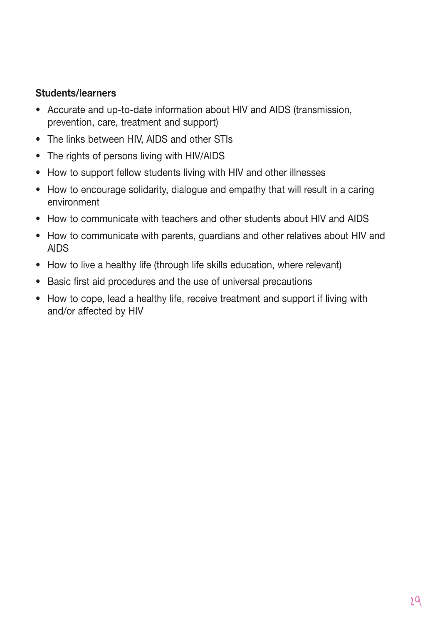#### **Students/learners**

- Accurate and up-to-date information about HIV and AIDS (transmission, prevention, care, treatment and support)
- The links between HIV, AIDS and other STIs
- The rights of persons living with HIV/AIDS
- How to support fellow students living with HIV and other illnesses
- How to encourage solidarity, dialogue and empathy that will result in a caring environment
- How to communicate with teachers and other students about HIV and AIDS
- How to communicate with parents, guardians and other relatives about HIV and AIDS
- How to live a healthy life (through life skills education, where relevant)
- Basic first aid procedures and the use of universal precautions
- How to cope, lead a healthy life, receive treatment and support if living with and/or affected by HIV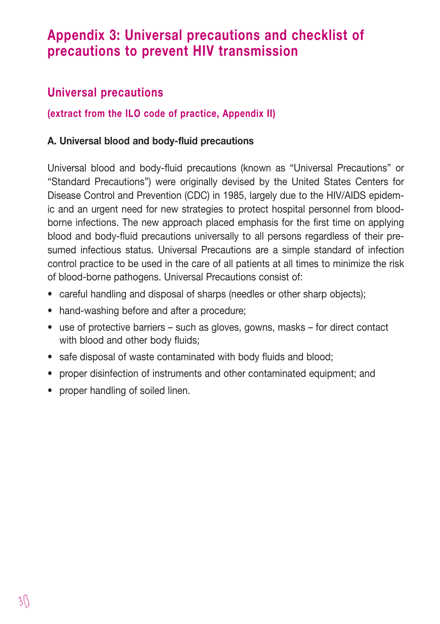# **Appendix 3: Universal precautions and checklist of precautions to prevent HIV transmission**

## **Universal precautions**

#### **(extract from the ILO code of practice, Appendix II)**

#### **A. Universal blood and body-fluid precautions**

Universal blood and body-fluid precautions (known as "Universal Precautions" or "Standard Precautions") were originally devised by the United States Centers for Disease Control and Prevention (CDC) in 1985, largely due to the HIV/AIDS epidemic and an urgent need for new strategies to protect hospital personnel from bloodborne infections. The new approach placed emphasis for the first time on applying blood and body-fluid precautions universally to all persons regardless of their presumed infectious status. Universal Precautions are a simple standard of infection control practice to be used in the care of all patients at all times to minimize the risk of blood-borne pathogens. Universal Precautions consist of:

- careful handling and disposal of sharps (needles or other sharp objects);
- hand-washing before and after a procedure;
- use of protective barriers such as gloves, gowns, masks for direct contact with blood and other body fluids;
- safe disposal of waste contaminated with body fluids and blood;
- proper disinfection of instruments and other contaminated equipment; and
- proper handling of soiled linen.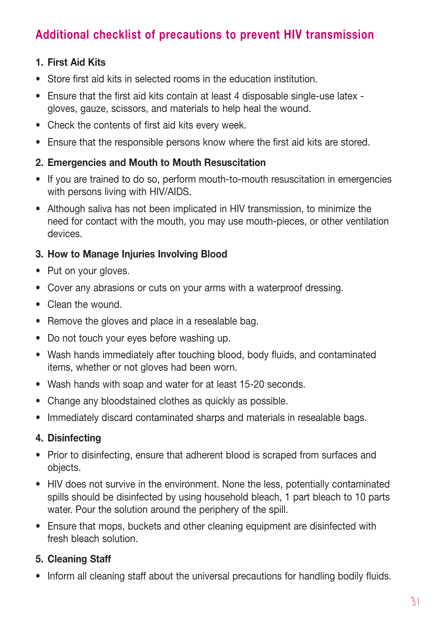## **Additional checklist of precautions to prevent HIV transmission**

#### **1. First Aid Kits**

- Store first aid kits in selected rooms in the education institution.
- Ensure that the first aid kits contain at least 4 disposable single-use latex gloves, gauze, scissors, and materials to help heal the wound.
- Check the contents of first aid kits every week.
- Ensure that the responsible persons know where the first aid kits are stored.

#### **2. Emergencies and Mouth to Mouth Resuscitation**

- If you are trained to do so, perform mouth-to-mouth resuscitation in emergencies with persons living with HIV/AIDS.
- Although saliva has not been implicated in HIV transmission, to minimize the need for contact with the mouth, you may use mouth-pieces, or other ventilation devices.

#### **3. How to Manage Injuries Involving Blood**

- Put on your aloves.
- Cover any abrasions or cuts on your arms with a waterproof dressing.
- Clean the wound
- Remove the gloves and place in a resealable bag.
- Do not touch your eyes before washing up.
- Wash hands immediately after touching blood, body fluids, and contaminated items, whether or not gloves had been worn.
- Wash hands with soap and water for at least 15-20 seconds.
- Change any bloodstained clothes as quickly as possible.
- Immediately discard contaminated sharps and materials in resealable bags.

#### **4. Disinfecting**

- Prior to disinfecting, ensure that adherent blood is scraped from surfaces and objects.
- HIV does not survive in the environment. None the less, potentially contaminated spills should be disinfected by using household bleach, 1 part bleach to 10 parts water. Pour the solution around the periphery of the spill.
- Ensure that mops, buckets and other cleaning equipment are disinfected with fresh bleach solution.

### **5. Cleaning Staff**

• Inform all cleaning staff about the universal precautions for handling bodily fluids.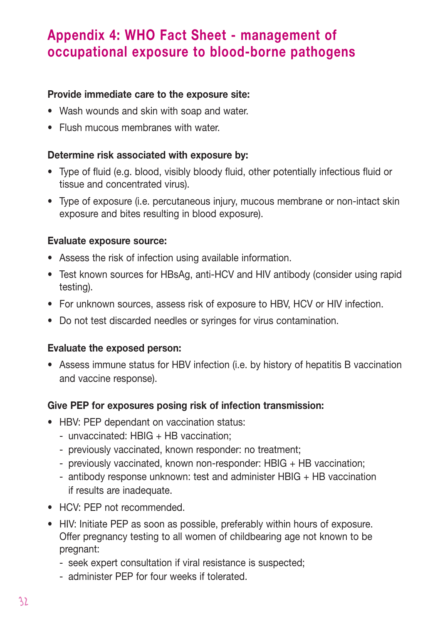# **Appendix 4: WHO Fact Sheet - management of occupational exposure to blood-borne pathogens**

#### **Provide immediate care to the exposure site:**

- Wash wounds and skin with soap and water.
- Flush mucous membranes with water.

#### **Determine risk associated with exposure by:**

- Type of fluid (e.g. blood, visibly bloody fluid, other potentially infectious fluid or tissue and concentrated virus).
- Type of exposure (i.e. percutaneous injury, mucous membrane or non-intact skin exposure and bites resulting in blood exposure).

#### **Evaluate exposure source:**

- Assess the risk of infection using available information.
- Test known sources for HBsAg, anti-HCV and HIV antibody (consider using rapid testing).
- For unknown sources, assess risk of exposure to HBV, HCV or HIV infection.
- Do not test discarded needles or syringes for virus contamination.

#### **Evaluate the exposed person:**

• Assess immune status for HBV infection (i.e. by history of hepatitis B vaccination and vaccine response).

#### **Give PEP for exposures posing risk of infection transmission:**

- HBV: PEP dependant on vaccination status:
	- unvaccinated: HBIG + HB vaccination;
	- previously vaccinated, known responder: no treatment;
	- previously vaccinated, known non-responder: HBIG + HB vaccination;
	- antibody response unknown: test and administer HBIG + HB vaccination if results are inadequate.
- HCV: PEP not recommended.
- HIV: Initiate PEP as soon as possible, preferably within hours of exposure. Offer pregnancy testing to all women of childbearing age not known to be pregnant:
	- seek expert consultation if viral resistance is suspected;
	- administer PEP for four weeks if tolerated.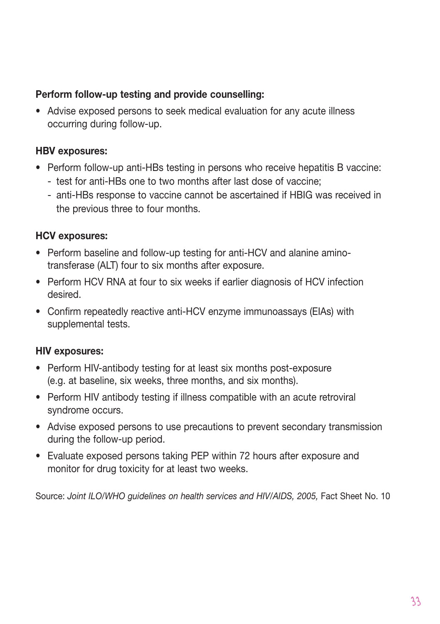#### **Perform follow-up testing and provide counselling:**

• Advise exposed persons to seek medical evaluation for any acute illness occurring during follow-up.

#### **HBV exposures:**

- Perform follow-up anti-HBs testing in persons who receive hepatitis B vaccine:
	- test for anti-HBs one to two months after last dose of vaccine;
	- anti-HBs response to vaccine cannot be ascertained if HBIG was received in the previous three to four months.

#### **HCV exposures:**

- Perform baseline and follow-up testing for anti-HCV and alanine aminotransferase (ALT) four to six months after exposure.
- Perform HCV RNA at four to six weeks if earlier diagnosis of HCV infection desired.
- Confirm repeatedly reactive anti-HCV enzyme immunoassays (EIAs) with supplemental tests.

#### **HIV exposures:**

- Perform HIV-antibody testing for at least six months post-exposure (e.g. at baseline, six weeks, three months, and six months).
- Perform HIV antibody testing if illness compatible with an acute retroviral syndrome occurs.
- Advise exposed persons to use precautions to prevent secondary transmission during the follow-up period.
- Evaluate exposed persons taking PEP within 72 hours after exposure and monitor for drug toxicity for at least two weeks.

Source: *Joint ILO/WHO guidelines on health services and HIV/AIDS, 2005,* Fact Sheet No. 10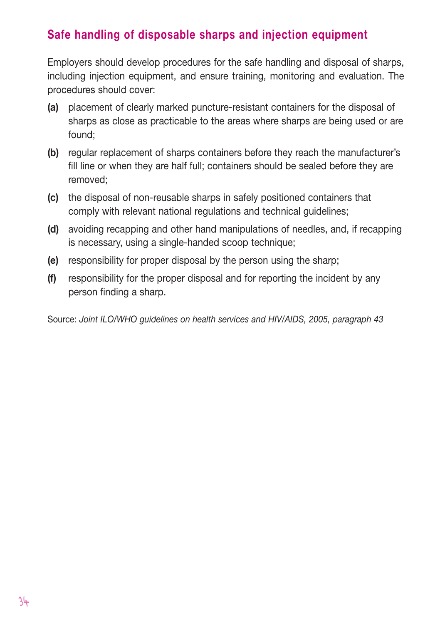## **Safe handling of disposable sharps and injection equipment**

Employers should develop procedures for the safe handling and disposal of sharps, including injection equipment, and ensure training, monitoring and evaluation. The procedures should cover:

- **(a)** placement of clearly marked puncture-resistant containers for the disposal of sharps as close as practicable to the areas where sharps are being used or are found;
- **(b)** regular replacement of sharps containers before they reach the manufacturer's fill line or when they are half full; containers should be sealed before they are removed;
- **(c)** the disposal of non-reusable sharps in safely positioned containers that comply with relevant national regulations and technical guidelines;
- **(d)** avoiding recapping and other hand manipulations of needles, and, if recapping is necessary, using a single-handed scoop technique;
- **(e)** responsibility for proper disposal by the person using the sharp;
- **(f)** responsibility for the proper disposal and for reporting the incident by any person finding a sharp.

Source: *Joint ILO/WHO guidelines on health services and HIV/AIDS, 2005, paragraph 43*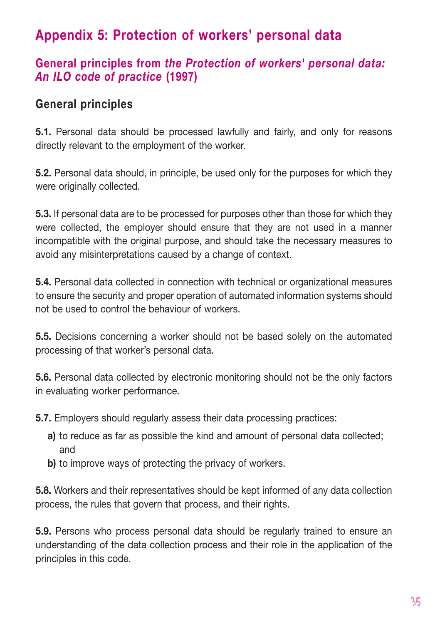# **Appendix 5: Protection of workers' personal data**

### **General principles from** *the Protection of workers' personal data: An ILO code of practice* **(1997)**

## **General principles**

**5.1.** Personal data should be processed lawfully and fairly, and only for reasons directly relevant to the employment of the worker.

**5.2.** Personal data should, in principle, be used only for the purposes for which they were originally collected.

**5.3.** If personal data are to be processed for purposes other than those for which they were collected, the employer should ensure that they are not used in a manner incompatible with the original purpose, and should take the necessary measures to avoid any misinterpretations caused by a change of context.

**5.4.** Personal data collected in connection with technical or organizational measures to ensure the security and proper operation of automated information systems should not be used to control the behaviour of workers.

**5.5.** Decisions concerning a worker should not be based solely on the automated processing of that worker's personal data.

**5.6.** Personal data collected by electronic monitoring should not be the only factors in evaluating worker performance.

**5.7.** Employers should regularly assess their data processing practices:

- **a)** to reduce as far as possible the kind and amount of personal data collected: and
- **b)** to improve ways of protecting the privacy of workers.

**5.8.** Workers and their representatives should be kept informed of any data collection process, the rules that govern that process, and their rights.

**5.9.** Persons who process personal data should be regularly trained to ensure an understanding of the data collection process and their role in the application of the principles in this code.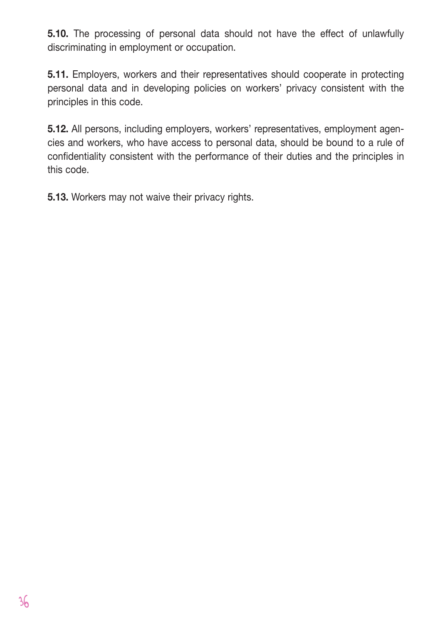**5.10.** The processing of personal data should not have the effect of unlawfully discriminating in employment or occupation.

**5.11.** Employers, workers and their representatives should cooperate in protecting personal data and in developing policies on workers' privacy consistent with the principles in this code.

**5.12.** All persons, including employers, workers' representatives, employment agencies and workers, who have access to personal data, should be bound to a rule of confidentiality consistent with the performance of their duties and the principles in this code.

**5.13.** Workers may not waive their privacy rights.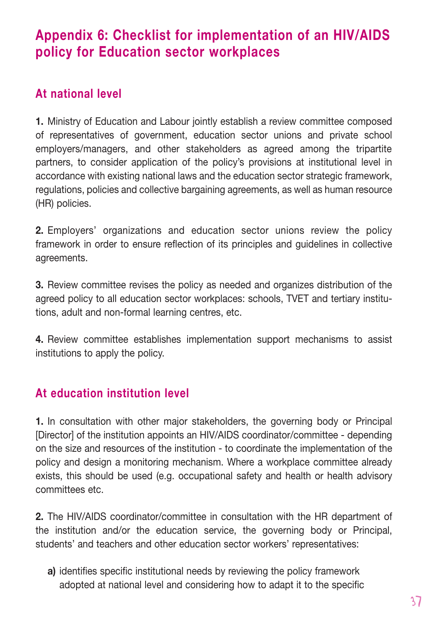# **Appendix 6: Checklist for implementation of an HIV/AIDS policy for Education sector workplaces**

## **At national level**

**1.** Ministry of Education and Labour jointly establish a review committee composed of representatives of government, education sector unions and private school employers/managers, and other stakeholders as agreed among the tripartite partners, to consider application of the policy's provisions at institutional level in accordance with existing national laws and the education sector strategic framework, regulations, policies and collective bargaining agreements, as well as human resource (HR) policies.

**2.** Employers' organizations and education sector unions review the policy framework in order to ensure reflection of its principles and guidelines in collective agreements.

**3.** Review committee revises the policy as needed and organizes distribution of the agreed policy to all education sector workplaces: schools, TVET and tertiary institutions, adult and non-formal learning centres, etc.

**4.** Review committee establishes implementation support mechanisms to assist institutions to apply the policy.

## **At education institution level**

**1.** In consultation with other major stakeholders, the governing body or Principal [Director] of the institution appoints an HIV/AIDS coordinator/committee - depending on the size and resources of the institution - to coordinate the implementation of the policy and design a monitoring mechanism. Where a workplace committee already exists, this should be used (e.g. occupational safety and health or health advisory committees etc.

**2.** The HIV/AIDS coordinator/committee in consultation with the HR department of the institution and/or the education service, the governing body or Principal, students' and teachers and other education sector workers' representatives:

**a)** identifies specific institutional needs by reviewing the policy framework adopted at national level and considering how to adapt it to the specific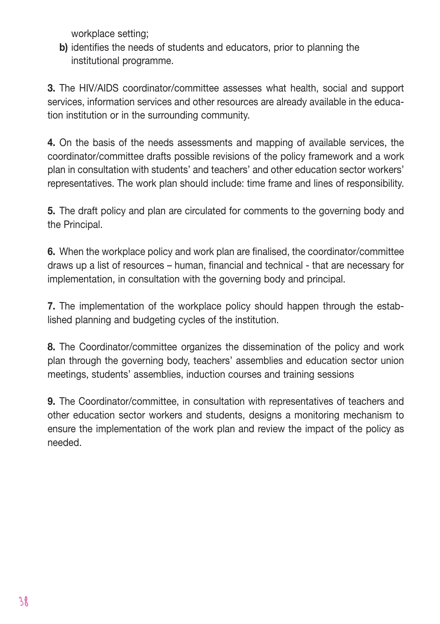workplace setting;

**b)** identifies the needs of students and educators, prior to planning the institutional programme.

**3.** The HIV/AIDS coordinator/committee assesses what health, social and support services, information services and other resources are already available in the education institution or in the surrounding community.

**4.** On the basis of the needs assessments and mapping of available services, the coordinator/committee drafts possible revisions of the policy framework and a work plan in consultation with students' and teachers' and other education sector workers' representatives. The work plan should include: time frame and lines of responsibility.

**5.** The draft policy and plan are circulated for comments to the governing body and the Principal.

**6.** When the workplace policy and work plan are finalised, the coordinator/committee draws up a list of resources – human, financial and technical - that are necessary for implementation, in consultation with the governing body and principal.

**7.** The implementation of the workplace policy should happen through the established planning and budgeting cycles of the institution.

**8.** The Coordinator/committee organizes the dissemination of the policy and work plan through the governing body, teachers' assemblies and education sector union meetings, students' assemblies, induction courses and training sessions

**9.** The Coordinator/committee, in consultation with representatives of teachers and other education sector workers and students, designs a monitoring mechanism to ensure the implementation of the work plan and review the impact of the policy as needed.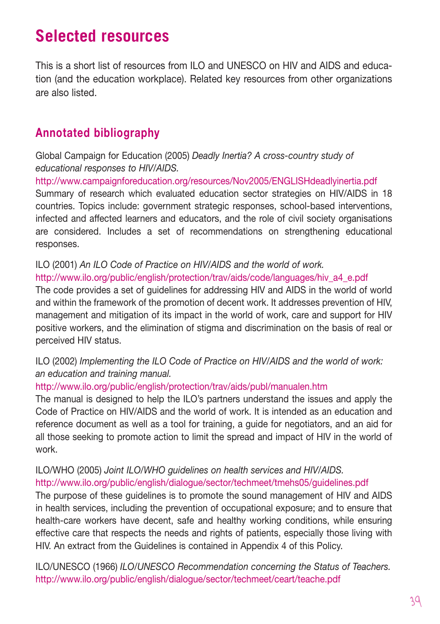# **Selected resources**

This is a short list of resources from ILO and UNESCO on HIV and AIDS and education (and the education workplace). Related key resources from other organizations are also listed.

## **Annotated bibliography**

Global Campaign for Education (2005) *Deadly Inertia? A cross-country study of educational responses to HIV/AIDS.* 

http://www.campaignforeducation.org/resources/Nov2005/ENGLISHdeadlyinertia.pdf Summary of research which evaluated education sector strategies on HIV/AIDS in 18 countries. Topics include: government strategic responses, school-based interventions, infected and affected learners and educators, and the role of civil society organisations are considered. Includes a set of recommendations on strengthening educational responses.

#### ILO (2001) *An ILO Code of Practice on HIV/AIDS and the world of work.*

#### http://www.ilo.org/public/english/protection/trav/aids/code/languages/hiv\_a4\_e.pdf

The code provides a set of guidelines for addressing HIV and AIDS in the world of world and within the framework of the promotion of decent work. It addresses prevention of HIV, management and mitigation of its impact in the world of work, care and support for HIV positive workers, and the elimination of stigma and discrimination on the basis of real or perceived HIV status.

#### ILO (2002) *Implementing the ILO Code of Practice on HIV/AIDS and the world of work: an education and training manual.*

#### http://www.ilo.org/public/english/protection/trav/aids/publ/manualen.htm

The manual is designed to help the ILO's partners understand the issues and apply the Code of Practice on HIV/AIDS and the world of work. It is intended as an education and reference document as well as a tool for training, a guide for negotiators, and an aid for all those seeking to promote action to limit the spread and impact of HIV in the world of work.

#### ILO/WHO (2005) *Joint ILO/WHO guidelines on health services and HIV/AIDS.* http://www.ilo.org/public/english/dialogue/sector/techmeet/tmehs05/guidelines.pdf

The purpose of these guidelines is to promote the sound management of HIV and AIDS in health services, including the prevention of occupational exposure; and to ensure that health-care workers have decent, safe and healthy working conditions, while ensuring effective care that respects the needs and rights of patients, especially those living with HIV. An extract from the Guidelines is contained in Appendix 4 of this Policy.

ILO/UNESCO (1966) *ILO/UNESCO Recommendation concerning the Status of Teachers.* http://www.ilo.org/public/english/dialogue/sector/techmeet/ceart/teache.pdf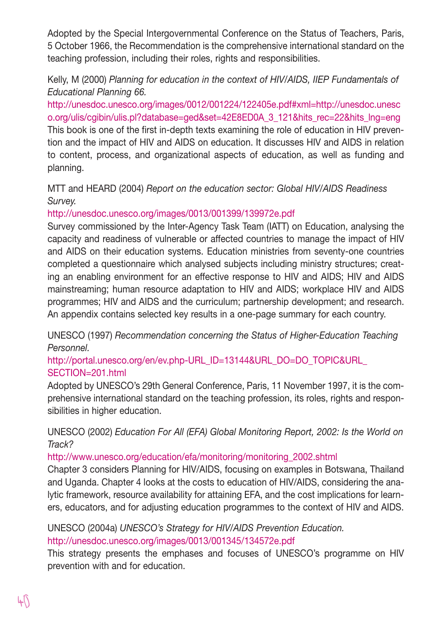Adopted by the Special Intergovernmental Conference on the Status of Teachers, Paris, 5 October 1966, the Recommendation is the comprehensive international standard on the teaching profession, including their roles, rights and responsibilities.

Kelly, M (2000) *Planning for education in the context of HIV/AIDS, IIEP Fundamentals of Educational Planning 66.*

http://unesdoc.unesco.org/images/0012/001224/122405e.pdf#xml=http://unesdoc.unesc o.org/ulis/cgibin/ulis.pl?database=ged&set=42E8ED0A\_3\_121&hits\_rec=22&hits\_lng=eng This book is one of the first in-depth texts examining the role of education in HIV prevention and the impact of HIV and AIDS on education. It discusses HIV and AIDS in relation to content, process, and organizational aspects of education, as well as funding and planning.

MTT and HEARD (2004) *Report on the education sector: Global HIV/AIDS Readiness Survey.*

http://unesdoc.unesco.org/images/0013/001399/139972e.pdf

Survey commissioned by the Inter-Agency Task Team (IATT) on Education, analysing the capacity and readiness of vulnerable or affected countries to manage the impact of HIV and AIDS on their education systems. Education ministries from seventy-one countries completed a questionnaire which analysed subjects including ministry structures; creating an enabling environment for an effective response to HIV and AIDS; HIV and AIDS mainstreaming; human resource adaptation to HIV and AIDS; workplace HIV and AIDS programmes; HIV and AIDS and the curriculum; partnership development; and research. An appendix contains selected key results in a one-page summary for each country.

UNESCO (1997) *Recommendation concerning the Status of Higher-Education Teaching Personnel.*

#### http://portal.unesco.org/en/ev.php-URL\_ID=13144&URL\_DO=DO\_TOPIC&URL SECTION=201.html

Adopted by UNESCO's 29th General Conference, Paris, 11 November 1997, it is the comprehensive international standard on the teaching profession, its roles, rights and responsibilities in higher education.

UNESCO (2002) *Education For All (EFA) Global Monitoring Report, 2002: Is the World on Track?*

http://www.unesco.org/education/efa/monitoring/monitoring\_2002.shtml

Chapter 3 considers Planning for HIV/AIDS, focusing on examples in Botswana, Thailand and Uganda. Chapter 4 looks at the costs to education of HIV/AIDS, considering the analytic framework, resource availability for attaining EFA, and the cost implications for learners, educators, and for adjusting education programmes to the context of HIV and AIDS.

UNESCO (2004a) *UNESCO's Strategy for HIV/AIDS Prevention Education.* http://unesdoc.unesco.org/images/0013/001345/134572e.pdf

This strategy presents the emphases and focuses of UNESCO's programme on HIV prevention with and for education.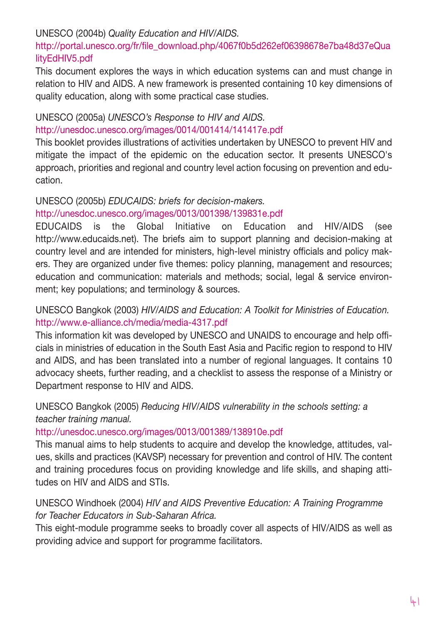#### UNESCO (2004b) *Quality Education and HIV/AIDS.*

#### http://portal.unesco.org/fr/file\_download.php/4067f0b5d262ef06398678e7ba48d37eQua lityEdHIV5.pdf

This document explores the ways in which education systems can and must change in relation to HIV and AIDS. A new framework is presented containing 10 key dimensions of quality education, along with some practical case studies.

#### UNESCO (2005a) *UNESCO's Response to HIV and AIDS.* http://unesdoc.unesco.org/images/0014/001414/141417e.pdf

This booklet provides illustrations of activities undertaken by UNESCO to prevent HIV and mitigate the impact of the epidemic on the education sector. It presents UNESCO's approach, priorities and regional and country level action focusing on prevention and education.

#### UNESCO (2005b) *EDUCAIDS: briefs for decision-makers.*

#### http://unesdoc.unesco.org/images/0013/001398/139831e.pdf

EDUCAIDS is the Global Initiative on Education and HIV/AIDS (see http://www.educaids.net). The briefs aim to support planning and decision-making at country level and are intended for ministers, high-level ministry officials and policy makers. They are organized under five themes: policy planning, management and resources; education and communication: materials and methods; social, legal & service environment; key populations; and terminology & sources.

#### UNESCO Bangkok (2003) *HIV/AIDS and Education: A Toolkit for Ministries of Education.* http://www.e-alliance.ch/media/media-4317.pdf

This information kit was developed by UNESCO and UNAIDS to encourage and help officials in ministries of education in the South East Asia and Pacific region to respond to HIV and AIDS, and has been translated into a number of regional languages. It contains 10 advocacy sheets, further reading, and a checklist to assess the response of a Ministry or Department response to HIV and AIDS.

#### UNESCO Bangkok (2005) *Reducing HIV/AIDS vulnerability in the schools setting: a teacher training manual.*

#### http://unesdoc.unesco.org/images/0013/001389/138910e.pdf

This manual aims to help students to acquire and develop the knowledge, attitudes, values, skills and practices (KAVSP) necessary for prevention and control of HIV. The content and training procedures focus on providing knowledge and life skills, and shaping attitudes on HIV and AIDS and STIs.

#### UNESCO Windhoek (2004) *HIV and AIDS Preventive Education: A Training Programme for Teacher Educators in Sub-Saharan Africa.*

This eight-module programme seeks to broadly cover all aspects of HIV/AIDS as well as providing advice and support for programme facilitators.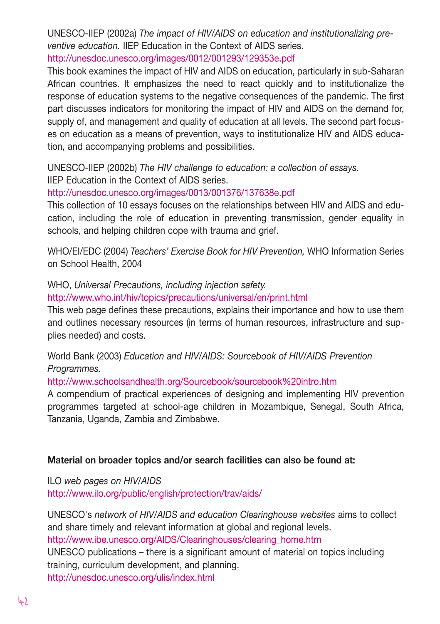UNESCO-IIEP (2002a) *The impact of HIV/AIDS on education and institutionalizing preventive education.* IIEP Education in the Context of AIDS series.

http://unesdoc.unesco.org/images/0012/001293/129353e.pdf

This book examines the impact of HIV and AIDS on education, particularly in sub-Saharan African countries. It emphasizes the need to react quickly and to institutionalize the response of education systems to the negative consequences of the pandemic. The first part discusses indicators for monitoring the impact of HIV and AIDS on the demand for, supply of, and management and quality of education at all levels. The second part focuses on education as a means of prevention, ways to institutionalize HIV and AIDS education, and accompanying problems and possibilities.

UNESCO-IIEP (2002b) *The HIV challenge to education: a collection of essays.* IIEP Education in the Context of AIDS series.

http://unesdoc.unesco.org/images/0013/001376/137638e.pdf

This collection of 10 essays focuses on the relationships between HIV and AIDS and education, including the role of education in preventing transmission, gender equality in schools, and helping children cope with trauma and grief.

WHO/EI/EDC (2004) *Teachers' Exercise Book for HIV Prevention,* WHO Information Series on School Health, 2004

WHO, *Universal Precautions, including injection safety.*

http://www.who.int/hiv/topics/precautions/universal/en/print.html

This web page defines these precautions, explains their importance and how to use them and outlines necessary resources (in terms of human resources, infrastructure and supplies needed) and costs.

World Bank (2003) *Education and HIV/AIDS: Sourcebook of HIV/AIDS Prevention Programmes.* 

http://www.schoolsandhealth.org/Sourcebook/sourcebook%20intro.htm

A compendium of practical experiences of designing and implementing HIV prevention programmes targeted at school-age children in Mozambique, Senegal, South Africa, Tanzania, Uganda, Zambia and Zimbabwe.

#### **Material on broader topics and/or search facilities can also be found at:**

ILO *web pages on HIV/AIDS* http://www.ilo.org/public/english/protection/trav/aids/

UNESCO's *network of HIV/AIDS and education Clearinghouse websites* aims to collect and share timely and relevant information at global and regional levels. http://www.ibe.unesco.org/AIDS/Clearinghouses/clearing\_home.htm

UNESCO publications – there is a significant amount of material on topics including

training, curriculum development, and planning.

http://unesdoc.unesco.org/ulis/index.html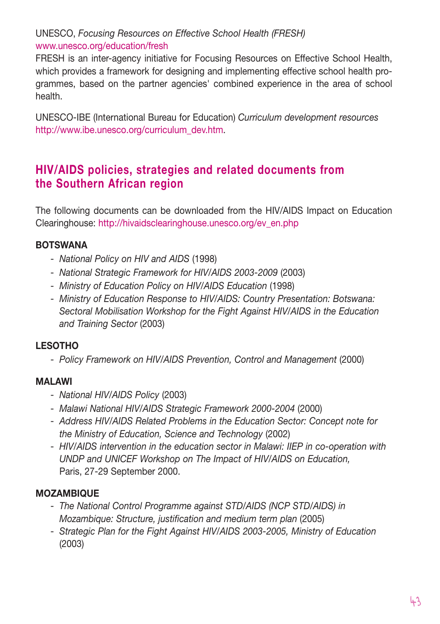#### UNESCO, *Focusing Resources on Effective School Health (FRESH)* www.unesco.org/education/fresh

FRESH is an inter-agency initiative for Focusing Resources on Effective School Health, which provides a framework for designing and implementing effective school health programmes, based on the partner agencies' combined experience in the area of school health.

UNESCO-IBE (International Bureau for Education) *Curriculum development resources* http://www.ibe.unesco.org/curriculum\_dev.htm.

## **HIV/AIDS policies, strategies and related documents from the Southern African region**

The following documents can be downloaded from the HIV/AIDS Impact on Education Clearinghouse: http://hivaidsclearinghouse.unesco.org/ev\_en.php

#### **BOTSWANA**

- *National Policy on HIV and AIDS* (1998)
- *National Strategic Framework for HIV/AIDS 2003-2009* (2003)
- *Ministry of Education Policy on HIV/AIDS Education* (1998)
- *Ministry of Education Response to HIV/AIDS: Country Presentation: Botswana: Sectoral Mobilisation Workshop for the Fight Against HIV/AIDS in the Education and Training Sector* (2003)

#### **LESOTHO**

- *Policy Framework on HIV/AIDS Prevention, Control and Management* (2000)

#### **MALAWI**

- *National HIV/AIDS Policy* (2003)
- *Malawi National HIV/AIDS Strategic Framework 2000-2004* (2000)
- *Address HIV/AIDS Related Problems in the Education Sector: Concept note for the Ministry of Education, Science and Technology* (2002)
- *HIV/AIDS intervention in the education sector in Malawi: IIEP in co-operation with UNDP and UNICEF Workshop on The Impact of HIV/AIDS on Education,* Paris, 27-29 September 2000.

#### **MOZAMBIQUE**

- *The National Control Programme against STD/AIDS (NCP STD/AIDS) in Mozambique: Structure, justification and medium term plan* (2005)
- *Strategic Plan for the Fight Against HIV/AIDS 2003-2005, Ministry of Education*  (2003)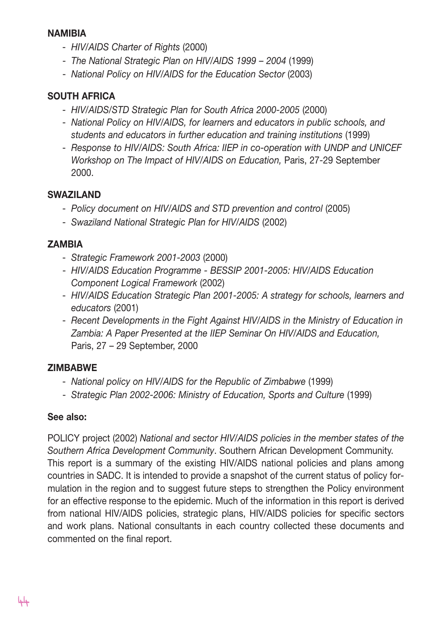#### **NAMIBIA**

- *HIV/AIDS Charter of Rights* (2000)
- *The National Strategic Plan on HIV/AIDS 1999 2004* (1999)
- *National Policy on HIV/AIDS for the Education Sector* (2003)

#### **SOUTH AFRICA**

- *HIV/AIDS/STD Strategic Plan for South Africa 2000-2005* (2000)
- *National Policy on HIV/AIDS, for learners and educators in public schools, and students and educators in further education and training institutions* (1999)
- *Response to HIV/AIDS: South Africa: IIEP in co-operation with UNDP and UNICEF Workshop on The Impact of HIV/AIDS on Education,* Paris, 27-29 September 2000.

#### **SWAZILAND**

- *Policy document on HIV/AIDS and STD prevention and control (2005)*
- *Swaziland National Strategic Plan for HIV/AIDS* (2002)

#### **ZAMBIA**

- *Strategic Framework 2001-2003* (2000)
- *HIV/AIDS Education Programme BESSIP 2001-2005: HIV/AIDS Education Component Logical Framework* (2002)
- *HIV/AIDS Education Strategic Plan 2001-2005: A strategy for schools, learners and educators* (2001)
- *Recent Developments in the Fight Against HIV/AIDS in the Ministry of Education in Zambia: A Paper Presented at the IIEP Seminar On HIV/AIDS and Education,* Paris, 27 – 29 September, 2000

#### **ZIMBABWE**

- *National policy on HIV/AIDS for the Republic of Zimbabwe* (1999)
- *Strategic Plan 2002-2006: Ministry of Education, Sports and Culture* (1999)

#### **See also:**

POLICY project (2002) *National and sector HIV/AIDS policies in the member states of the Southern Africa Development Community*. Southern African Development Community. This report is a summary of the existing HIV/AIDS national policies and plans among countries in SADC. It is intended to provide a snapshot of the current status of policy formulation in the region and to suggest future steps to strengthen the Policy environment for an effective response to the epidemic. Much of the information in this report is derived from national HIV/AIDS policies, strategic plans, HIV/AIDS policies for specific sectors and work plans. National consultants in each country collected these documents and commented on the final report.